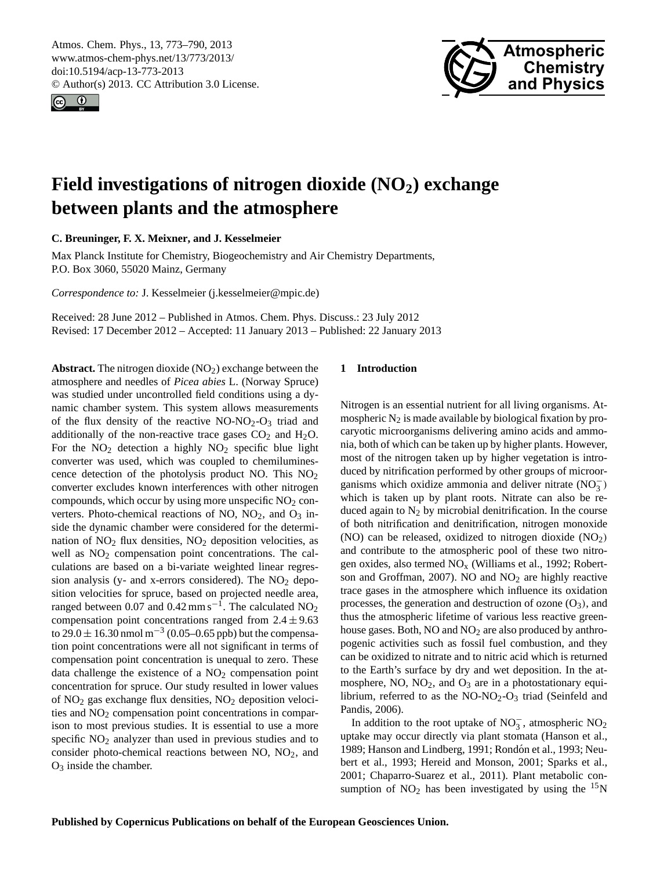<span id="page-0-0"></span>Atmos. Chem. Phys., 13, 773–790, 2013 www.atmos-chem-phys.net/13/773/2013/ doi:10.5194/acp-13-773-2013 © Author(s) 2013. CC Attribution 3.0 License.





# **Field investigations of nitrogen dioxide (NO2) exchange between plants and the atmosphere**

**C. Breuninger, F. X. Meixner, and J. Kesselmeier**

Max Planck Institute for Chemistry, Biogeochemistry and Air Chemistry Departments, P.O. Box 3060, 55020 Mainz, Germany

*Correspondence to:* J. Kesselmeier (j.kesselmeier@mpic.de)

Received: 28 June 2012 – Published in Atmos. Chem. Phys. Discuss.: 23 July 2012 Revised: 17 December 2012 – Accepted: 11 January 2013 – Published: 22 January 2013

Abstract. The nitrogen dioxide (NO<sub>2</sub>) exchange between the atmosphere and needles of *Picea abies* L. (Norway Spruce) was studied under uncontrolled field conditions using a dynamic chamber system. This system allows measurements of the flux density of the reactive  $NO-NO<sub>2</sub>-O<sub>3</sub>$  triad and additionally of the non-reactive trace gases  $CO<sub>2</sub>$  and  $H<sub>2</sub>O$ . For the  $NO<sub>2</sub>$  detection a highly  $NO<sub>2</sub>$  specific blue light converter was used, which was coupled to chemiluminescence detection of the photolysis product NO. This  $NO<sub>2</sub>$ converter excludes known interferences with other nitrogen compounds, which occur by using more unspecific  $NO<sub>2</sub>$  converters. Photo-chemical reactions of NO,  $NO<sub>2</sub>$ , and  $O<sub>3</sub>$  inside the dynamic chamber were considered for the determination of  $NO<sub>2</sub>$  flux densities,  $NO<sub>2</sub>$  deposition velocities, as well as  $NO<sub>2</sub>$  compensation point concentrations. The calculations are based on a bi-variate weighted linear regression analysis (y- and x-errors considered). The  $NO<sub>2</sub>$  deposition velocities for spruce, based on projected needle area, ranged between 0.07 and 0.42 mm s<sup>-1</sup>. The calculated  $NO_2$ compensation point concentrations ranged from  $2.4 \pm 9.63$ to 29.0  $\pm$  16.30 nmol m<sup>-3</sup> (0.05–0.65 ppb) but the compensation point concentrations were all not significant in terms of compensation point concentration is unequal to zero. These data challenge the existence of a  $NO<sub>2</sub>$  compensation point concentration for spruce. Our study resulted in lower values of  $NO<sub>2</sub>$  gas exchange flux densities,  $NO<sub>2</sub>$  deposition velocities and  $NO<sub>2</sub>$  compensation point concentrations in comparison to most previous studies. It is essential to use a more specific  $NO<sub>2</sub>$  analyzer than used in previous studies and to consider photo-chemical reactions between  $NO$ ,  $NO<sub>2</sub>$ , and  $O<sub>3</sub>$  inside the chamber.

# **1 Introduction**

Nitrogen is an essential nutrient for all living organisms. Atmospheric  $N_2$  is made available by biological fixation by procaryotic microorganisms delivering amino acids and ammonia, both of which can be taken up by higher plants. However, most of the nitrogen taken up by higher vegetation is introduced by nitrification performed by other groups of microorganisms which oxidize ammonia and deliver nitrate  $(NO_3^-)$ which is taken up by plant roots. Nitrate can also be reduced again to  $N_2$  by microbial denitrification. In the course of both nitrification and denitrification, nitrogen monoxide (NO) can be released, oxidized to nitrogen dioxide  $(NO<sub>2</sub>)$ and contribute to the atmospheric pool of these two nitrogen oxides, also termed  $NO<sub>x</sub>$  (Williams et al., 1992; Robertson and Groffman, 2007). NO and  $NO<sub>2</sub>$  are highly reactive trace gases in the atmosphere which influence its oxidation processes, the generation and destruction of ozone  $(O_3)$ , and thus the atmospheric lifetime of various less reactive greenhouse gases. Both, NO and NO<sub>2</sub> are also produced by anthropogenic activities such as fossil fuel combustion, and they can be oxidized to nitrate and to nitric acid which is returned to the Earth's surface by dry and wet deposition. In the atmosphere,  $NO$ ,  $NO<sub>2</sub>$ , and  $O<sub>3</sub>$  are in a photostationary equilibrium, referred to as the  $NO-NO<sub>2</sub>-O<sub>3</sub>$  triad (Seinfeld and Pandis, 2006).

In addition to the root uptake of  $NO_3^-$ , atmospheric  $NO_2$ uptake may occur directly via plant stomata (Hanson et al., 1989; Hanson and Lindberg, 1991; Rondón et al., 1993; Neubert et al., 1993; Hereid and Monson, 2001; Sparks et al., 2001; Chaparro-Suarez et al., 2011). Plant metabolic consumption of  $NO<sub>2</sub>$  has been investigated by using the  $15N$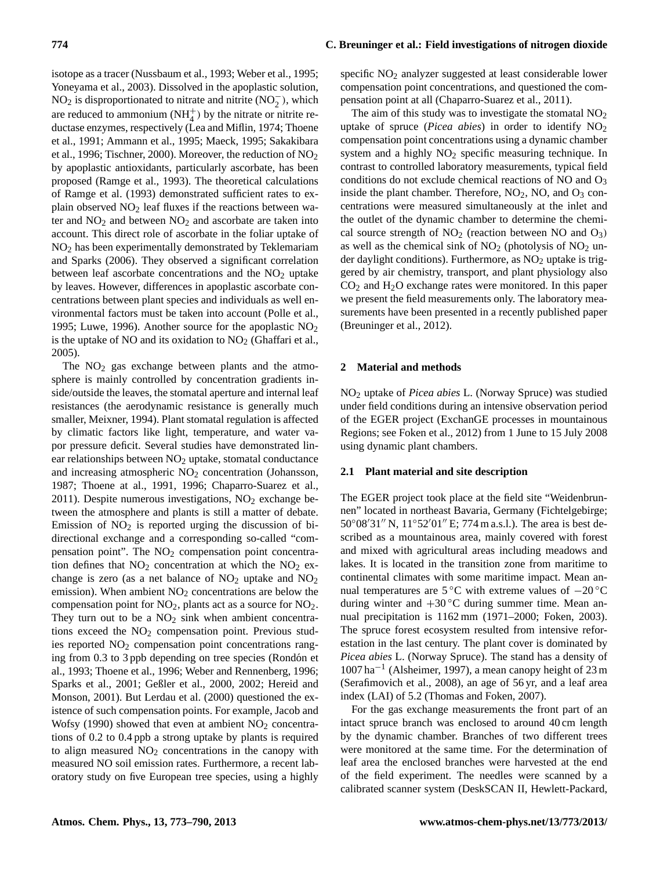isotope as a tracer (Nussbaum et al., 1993; Weber et al., 1995; Yoneyama et al., 2003). Dissolved in the apoplastic solution,  $NO<sub>2</sub>$  is disproportionated to nitrate and nitrite ( $NO<sub>2</sub><sup>-</sup>$ ), which are reduced to ammonium  $(NH_4^+)$  by the nitrate or nitrite reductase enzymes, respectively (Lea and Miflin, 1974; Thoene et al., 1991; Ammann et al., 1995; Maeck, 1995; Sakakibara et al., 1996; Tischner, 2000). Moreover, the reduction of NO<sup>2</sup> by apoplastic antioxidants, particularly ascorbate, has been proposed (Ramge et al., 1993). The theoretical calculations of Ramge et al. (1993) demonstrated sufficient rates to explain observed  $NO<sub>2</sub>$  leaf fluxes if the reactions between water and  $NO<sub>2</sub>$  and between  $NO<sub>2</sub>$  and ascorbate are taken into account. This direct role of ascorbate in the foliar uptake of NO<sup>2</sup> has been experimentally demonstrated by Teklemariam and Sparks (2006). They observed a significant correlation between leaf ascorbate concentrations and the  $NO<sub>2</sub>$  uptake by leaves. However, differences in apoplastic ascorbate concentrations between plant species and individuals as well environmental factors must be taken into account (Polle et al., 1995; Luwe, 1996). Another source for the apoplastic  $NO<sub>2</sub>$ is the uptake of NO and its oxidation to  $NO<sub>2</sub>$  (Ghaffari et al., 2005).

The  $NO<sub>2</sub>$  gas exchange between plants and the atmosphere is mainly controlled by concentration gradients inside/outside the leaves, the stomatal aperture and internal leaf resistances (the aerodynamic resistance is generally much smaller, Meixner, 1994). Plant stomatal regulation is affected by climatic factors like light, temperature, and water vapor pressure deficit. Several studies have demonstrated linear relationships between  $NO<sub>2</sub>$  uptake, stomatal conductance and increasing atmospheric  $NO<sub>2</sub>$  concentration (Johansson, 1987; Thoene at al., 1991, 1996; Chaparro-Suarez et al., 2011). Despite numerous investigations,  $NO<sub>2</sub>$  exchange between the atmosphere and plants is still a matter of debate. Emission of  $NO<sub>2</sub>$  is reported urging the discussion of bidirectional exchange and a corresponding so-called "compensation point". The  $NO<sub>2</sub>$  compensation point concentration defines that  $NO<sub>2</sub>$  concentration at which the  $NO<sub>2</sub>$  exchange is zero (as a net balance of  $NO<sub>2</sub>$  uptake and  $NO<sub>2</sub>$ emission). When ambient  $NO<sub>2</sub>$  concentrations are below the compensation point for  $NO<sub>2</sub>$ , plants act as a source for  $NO<sub>2</sub>$ . They turn out to be a  $NO<sub>2</sub>$  sink when ambient concentrations exceed the  $NO<sub>2</sub>$  compensation point. Previous studies reported  $NO<sub>2</sub>$  compensation point concentrations ranging from 0.3 to 3 ppb depending on tree species (Rondón et al., 1993; Thoene et al., 1996; Weber and Rennenberg, 1996; Sparks et al., 2001; Geßler et al., 2000, 2002; Hereid and Monson, 2001). But Lerdau et al. (2000) questioned the existence of such compensation points. For example, Jacob and Wofsy (1990) showed that even at ambient  $NO<sub>2</sub>$  concentrations of 0.2 to 0.4 ppb a strong uptake by plants is required to align measured  $NO<sub>2</sub>$  concentrations in the canopy with measured NO soil emission rates. Furthermore, a recent laboratory study on five European tree species, using a highly

# **774 C. Breuninger et al.: Field investigations of nitrogen dioxide**

specific NO<sub>2</sub> analyzer suggested at least considerable lower compensation point concentrations, and questioned the compensation point at all (Chaparro-Suarez et al., 2011).

The aim of this study was to investigate the stomatal  $NO<sub>2</sub>$ uptake of spruce (*Picea abies*) in order to identify  $NO<sub>2</sub>$ compensation point concentrations using a dynamic chamber system and a highly  $NO<sub>2</sub>$  specific measuring technique. In contrast to controlled laboratory measurements, typical field conditions do not exclude chemical reactions of NO and  $O_3$ inside the plant chamber. Therefore,  $NO<sub>2</sub>$ ,  $NO<sub>2</sub>$  and  $O<sub>3</sub>$  concentrations were measured simultaneously at the inlet and the outlet of the dynamic chamber to determine the chemical source strength of  $NO<sub>2</sub>$  (reaction between NO and  $O<sub>3</sub>$ ) as well as the chemical sink of  $NO<sub>2</sub>$  (photolysis of  $NO<sub>2</sub>$  under daylight conditions). Furthermore, as  $NO<sub>2</sub>$  uptake is triggered by air chemistry, transport, and plant physiology also  $CO<sub>2</sub>$  and  $H<sub>2</sub>O$  exchange rates were monitored. In this paper we present the field measurements only. The laboratory measurements have been presented in a recently published paper (Breuninger et al., 2012).

#### **2 Material and methods**

NO<sup>2</sup> uptake of *Picea abies* L. (Norway Spruce) was studied under field conditions during an intensive observation period of the EGER project (ExchanGE processes in mountainous Regions; see Foken et al., 2012) from 1 June to 15 July 2008 using dynamic plant chambers.

## **2.1 Plant material and site description**

The EGER project took place at the field site "Weidenbrunnen" located in northeast Bavaria, Germany (Fichtelgebirge;  $50^{\circ}08'31''$  N,  $11^{\circ}52'01''$  E; 774 m a.s.l.). The area is best described as a mountainous area, mainly covered with forest and mixed with agricultural areas including meadows and lakes. It is located in the transition zone from maritime to continental climates with some maritime impact. Mean annual temperatures are 5 ◦C with extreme values of −20 ◦C during winter and  $+30^{\circ}$ C during summer time. Mean annual precipitation is 1162 mm (1971–2000; Foken, 2003). The spruce forest ecosystem resulted from intensive reforestation in the last century. The plant cover is dominated by *Picea abies* L. (Norway Spruce). The stand has a density of 1007 ha−<sup>1</sup> (Alsheimer, 1997), a mean canopy height of 23 m (Serafimovich et al., 2008), an age of 56 yr, and a leaf area index (LAI) of 5.2 (Thomas and Foken, 2007).

For the gas exchange measurements the front part of an intact spruce branch was enclosed to around 40 cm length by the dynamic chamber. Branches of two different trees were monitored at the same time. For the determination of leaf area the enclosed branches were harvested at the end of the field experiment. The needles were scanned by a calibrated scanner system (DeskSCAN II, Hewlett-Packard,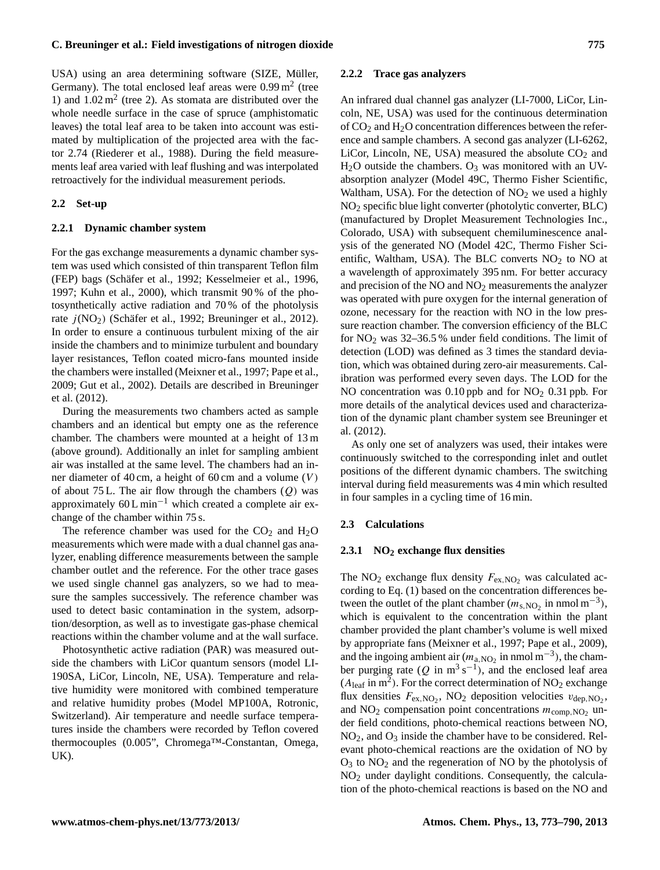USA) using an area determining software (SIZE, Müller, Germany). The total enclosed leaf areas were  $0.99 \text{ m}^2$  (tree 1) and  $1.02 \text{ m}^2$  (tree 2). As stomata are distributed over the whole needle surface in the case of spruce (amphistomatic leaves) the total leaf area to be taken into account was estimated by multiplication of the projected area with the factor 2.74 (Riederer et al., 1988). During the field measurements leaf area varied with leaf flushing and was interpolated retroactively for the individual measurement periods.

### **2.2 Set-up**

#### **2.2.1 Dynamic chamber system**

For the gas exchange measurements a dynamic chamber system was used which consisted of thin transparent Teflon film (FEP) bags (Schäfer et al., 1992; Kesselmeier et al., 1996, 1997; Kuhn et al., 2000), which transmit 90 % of the photosynthetically active radiation and 70 % of the photolysis rate  $j(NO<sub>2</sub>)$  (Schäfer et al., 1992; Breuninger et al., 2012). In order to ensure a continuous turbulent mixing of the air inside the chambers and to minimize turbulent and boundary layer resistances, Teflon coated micro-fans mounted inside the chambers were installed (Meixner et al., 1997; Pape et al., 2009; Gut et al., 2002). Details are described in Breuninger et al. (2012).

During the measurements two chambers acted as sample chambers and an identical but empty one as the reference chamber. The chambers were mounted at a height of 13 m (above ground). Additionally an inlet for sampling ambient air was installed at the same level. The chambers had an inner diameter of 40 cm, a height of 60 cm and a volume  $(V)$ of about 75 L. The air flow through the chambers  $(Q)$  was approximately  $60 \text{ L min}^{-1}$  which created a complete air exchange of the chamber within 75 s.

The reference chamber was used for the  $CO<sub>2</sub>$  and  $H<sub>2</sub>O$ measurements which were made with a dual channel gas analyzer, enabling difference measurements between the sample chamber outlet and the reference. For the other trace gases we used single channel gas analyzers, so we had to measure the samples successively. The reference chamber was used to detect basic contamination in the system, adsorption/desorption, as well as to investigate gas-phase chemical reactions within the chamber volume and at the wall surface.

Photosynthetic active radiation (PAR) was measured outside the chambers with LiCor quantum sensors (model LI-190SA, LiCor, Lincoln, NE, USA). Temperature and relative humidity were monitored with combined temperature and relative humidity probes (Model MP100A, Rotronic, Switzerland). Air temperature and needle surface temperatures inside the chambers were recorded by Teflon covered thermocouples (0.005", Chromega™-Constantan, Omega, UK).

## **2.2.2 Trace gas analyzers**

An infrared dual channel gas analyzer (LI-7000, LiCor, Lincoln, NE, USA) was used for the continuous determination of  $CO<sub>2</sub>$  and  $H<sub>2</sub>O$  concentration differences between the reference and sample chambers. A second gas analyzer (LI-6262, LiCor, Lincoln, NE, USA) measured the absolute  $CO<sub>2</sub>$  and  $H<sub>2</sub>O$  outside the chambers.  $O<sub>3</sub>$  was monitored with an UVabsorption analyzer (Model 49C, Thermo Fisher Scientific, Waltham, USA). For the detection of  $NO<sub>2</sub>$  we used a highly  $NO<sub>2</sub>$  specific blue light converter (photolytic converter, BLC) (manufactured by Droplet Measurement Technologies Inc., Colorado, USA) with subsequent chemiluminescence analysis of the generated NO (Model 42C, Thermo Fisher Scientific, Waltham, USA). The BLC converts  $NO<sub>2</sub>$  to NO at a wavelength of approximately 395 nm. For better accuracy and precision of the  $NO$  and  $NO<sub>2</sub>$  measurements the analyzer was operated with pure oxygen for the internal generation of ozone, necessary for the reaction with NO in the low pressure reaction chamber. The conversion efficiency of the BLC for  $NO<sub>2</sub>$  was 32–36.5 % under field conditions. The limit of detection (LOD) was defined as 3 times the standard deviation, which was obtained during zero-air measurements. Calibration was performed every seven days. The LOD for the NO concentration was  $0.10$  ppb and for NO<sub>2</sub> 0.31 ppb. For more details of the analytical devices used and characterization of the dynamic plant chamber system see Breuninger et al. (2012).

As only one set of analyzers was used, their intakes were continuously switched to the corresponding inlet and outlet positions of the different dynamic chambers. The switching interval during field measurements was 4 min which resulted in four samples in a cycling time of 16 min.

## **2.3 Calculations**

## **2.3.1 NO<sup>2</sup> exchange flux densities**

The NO<sub>2</sub> exchange flux density  $F_{ex,NO_2}$  was calculated according to Eq. (1) based on the concentration differences between the outlet of the plant chamber  $(m_{s,NO_2} \text{ in } n\text{mol } m^{-3})$ , which is equivalent to the concentration within the plant chamber provided the plant chamber's volume is well mixed by appropriate fans (Meixner et al., 1997; Pape et al., 2009), and the ingoing ambient air ( $m_{a,\text{NO}_2}$  in nmol m<sup>-3</sup>), the chamber purging rate (Q in m<sup>3</sup> s<sup>-1</sup>), and the enclosed leaf area  $(A<sub>leaf</sub> in m<sup>2</sup>)$ . For the correct determination of NO<sub>2</sub> exchange flux densities  $F_{\text{ex,NO}_2}$ , NO<sub>2</sub> deposition velocities  $v_{\text{dep,NO}_2}$ , and  $NO<sub>2</sub>$  compensation point concentrations  $m_{comp, NO<sub>2</sub>}$  under field conditions, photo-chemical reactions between NO,  $NO<sub>2</sub>$ , and  $O<sub>3</sub>$  inside the chamber have to be considered. Relevant photo-chemical reactions are the oxidation of NO by  $O_3$  to  $NO_2$  and the regeneration of NO by the photolysis of NO<sup>2</sup> under daylight conditions. Consequently, the calculation of the photo-chemical reactions is based on the NO and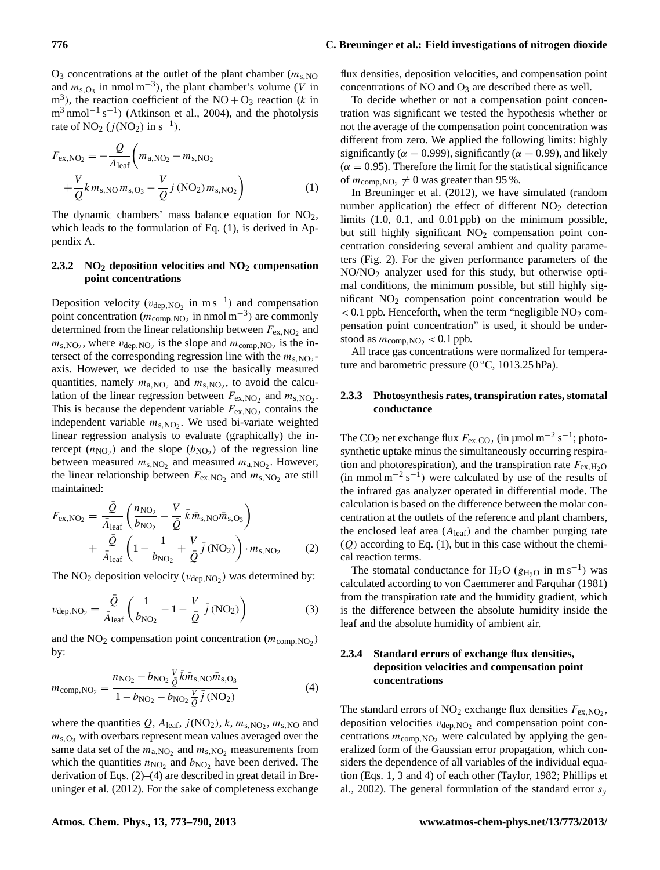$O_3$  concentrations at the outlet of the plant chamber ( $m_{s,NO}$ ) and  $m_{s, O_3}$  in nmol m<sup>-3</sup>), the plant chamber's volume (V in  $m<sup>3</sup>$ ), the reaction coefficient of the NO + O<sub>3</sub> reaction (k in  $m^3$  nmol<sup>-1</sup> s<sup>-1</sup>) (Atkinson et al., 2004), and the photolysis rate of NO<sub>2</sub> ( $j$ (NO<sub>2</sub>) in s<sup>-1</sup>).

$$
F_{\text{ex,NO}_2} = -\frac{Q}{A_{\text{leaf}}} \left( m_{\text{a,NO}_2} - m_{\text{s,NO}_2} + \frac{V}{Q} k m_{\text{s,NO}} m_{\text{s,O}_3} - \frac{V}{Q} j \left( \text{NO}_2 \right) m_{\text{s,NO}_2} \right)
$$
(1)

The dynamic chambers' mass balance equation for  $NO<sub>2</sub>$ , which leads to the formulation of Eq.  $(1)$ , is derived in Appendix A.

# **2.3.2 NO<sup>2</sup> deposition velocities and NO<sup>2</sup> compensation point concentrations**

Deposition velocity ( $v_{\text{dep, NO}_2}$  in m s<sup>-1</sup>) and compensation point concentration ( $m_{\text{comp,NO}_2}$  in nmol m<sup>-3</sup>) are commonly determined from the linear relationship between  $F_{\text{ex,NO}_2}$  and  $m_{\rm s, NO_2}$ , where  $v_{\rm dep, NO_2}$  is the slope and  $m_{\rm comp, NO_2}$  is the intersect of the corresponding regression line with the  $m_{s,NO_2}$ axis. However, we decided to use the basically measured quantities, namely  $m_{a,NO_2}$  and  $m_{s,NO_2}$ , to avoid the calculation of the linear regression between  $F_{\text{ex,NO}_2}$  and  $m_{\text{s,NO}_2}$ . This is because the dependent variable  $F_{\text{ex,NO}_2}$  contains the independent variable  $m_{s,NO_2}$ . We used bi-variate weighted linear regression analysis to evaluate (graphically) the intercept  $(n_{\text{NO}_2})$  and the slope  $(b_{\text{NO}_2})$  of the regression line between measured  $m_{s, NO_2}$  and measured  $m_{a, NO_2}$ . However, the linear relationship between  $F_{\text{ex,NO}_2}$  and  $m_{\text{s,NO}_2}$  are still maintained:

$$
F_{\text{ex,NO}_2} = \frac{\bar{Q}}{\bar{A}_{\text{leaf}}} \left( \frac{n_{\text{NO}_2}}{b_{\text{NO}_2}} - \frac{V}{\bar{Q}} \bar{k} \bar{m}_{\text{s,NO}} \bar{m}_{\text{s,O}_3} \right) + \frac{\bar{Q}}{\bar{A}_{\text{leaf}}} \left( 1 - \frac{1}{b_{\text{NO}_2}} + \frac{V}{\bar{Q}} \bar{j} \left( \text{NO}_2 \right) \right) \cdot m_{\text{s,NO}_2} \tag{2}
$$

The  $NO_2$  deposition velocity ( $v_{dep, NO_2}$ ) was determined by:

$$
v_{\rm dep,NO_2} = \frac{\bar{Q}}{\bar{A}_{\rm leaf}} \left( \frac{1}{b_{\rm NO_2}} - 1 - \frac{V}{\bar{Q}} \bar{j} \left( \rm NO_2 \right) \right)
$$
(3)

and the  $NO<sub>2</sub>$  compensation point concentration ( $m_{comp, NO_2}$ ) by:

$$
m_{\text{comp,NO}_2} = \frac{n_{\text{NO}_2} - b_{\text{NO}_2} \frac{V}{\bar{Q}} \bar{k} \bar{m}_{\text{s,NO}} \bar{m}_{\text{s,O}_3}}{1 - b_{\text{NO}_2} - b_{\text{NO}_2} \frac{V}{\bar{Q}} \bar{j} \text{ (NO}_2)}\tag{4}
$$

where the quantities  $Q$ ,  $A_{\text{leaf}}$ ,  $j(\text{NO}_2)$ ,  $k$ ,  $m_{\text{s,NO}_2}$ ,  $m_{\text{s,NO}}$  and  $m_{s,O_3}$  with overbars represent mean values averaged over the same data set of the  $m_{a,NO_2}$  and  $m_{s,NO_2}$  measurements from which the quantities  $n_{\text{NO}_2}$  and  $b_{\text{NO}_2}$  have been derived. The derivation of Eqs. (2)–(4) are described in great detail in Breuninger et al. (2012). For the sake of completeness exchange

flux densities, deposition velocities, and compensation point concentrations of NO and  $O_3$  are described there as well.

To decide whether or not a compensation point concentration was significant we tested the hypothesis whether or not the average of the compensation point concentration was different from zero. We applied the following limits: highly significantly ( $\alpha = 0.999$ ), significantly ( $\alpha = 0.99$ ), and likely  $(\alpha = 0.95)$ . Therefore the limit for the statistical significance of  $m_{\text{comp,NO}_2} \neq 0$  was greater than 95%.

In Breuninger et al. (2012), we have simulated (random number application) the effect of different  $NO<sub>2</sub>$  detection limits (1.0, 0.1, and 0.01 ppb) on the minimum possible, but still highly significant NO<sub>2</sub> compensation point concentration considering several ambient and quality parameters (Fig. 2). For the given performance parameters of the NO/NO<sup>2</sup> analyzer used for this study, but otherwise optimal conditions, the minimum possible, but still highly significant  $NO<sub>2</sub>$  compensation point concentration would be  $< 0.1$  ppb. Henceforth, when the term "negligible  $NO<sub>2</sub>$  compensation point concentration" is used, it should be understood as  $m_{\text{comp,NO}_2}$  < 0.1 ppb.

All trace gas concentrations were normalized for temperature and barometric pressure ( $0^{\circ}$ C, 1013.25 hPa).

# **2.3.3 Photosynthesis rates, transpiration rates, stomatal conductance**

The CO<sub>2</sub> net exchange flux  $F_{\text{ex,CO}_2}$  (in  $\mu$ mol m<sup>-2</sup> s<sup>-1</sup>; photosynthetic uptake minus the simultaneously occurring respiration and photorespiration), and the transpiration rate  $F_{\text{ex,H}_2\text{O}}$  $(\text{in mmol m}^{-2} \text{ s}^{-1})$  were calculated by use of the results of the infrared gas analyzer operated in differential mode. The calculation is based on the difference between the molar concentration at the outlets of the reference and plant chambers, the enclosed leaf area  $(A<sub>leaf</sub>)$  and the chamber purging rate  $(Q)$  according to Eq. (1), but in this case without the chemical reaction terms.

The stomatal conductance for H<sub>2</sub>O ( $g_{H_2O}$  in m s<sup>-1</sup>) was calculated according to von Caemmerer and Farquhar (1981) from the transpiration rate and the humidity gradient, which is the difference between the absolute humidity inside the leaf and the absolute humidity of ambient air.

# **2.3.4 Standard errors of exchange flux densities, deposition velocities and compensation point concentrations**

The standard errors of  $NO_2$  exchange flux densities  $F_{ex,NO_2}$ , deposition velocities  $v_{\text{dep, NO}_2}$  and compensation point concentrations  $m_{\text{comp,NO}_2}$  were calculated by applying the generalized form of the Gaussian error propagation, which considers the dependence of all variables of the individual equation (Eqs. 1, 3 and 4) of each other (Taylor, 1982; Phillips et al., 2002). The general formulation of the standard error  $s_y$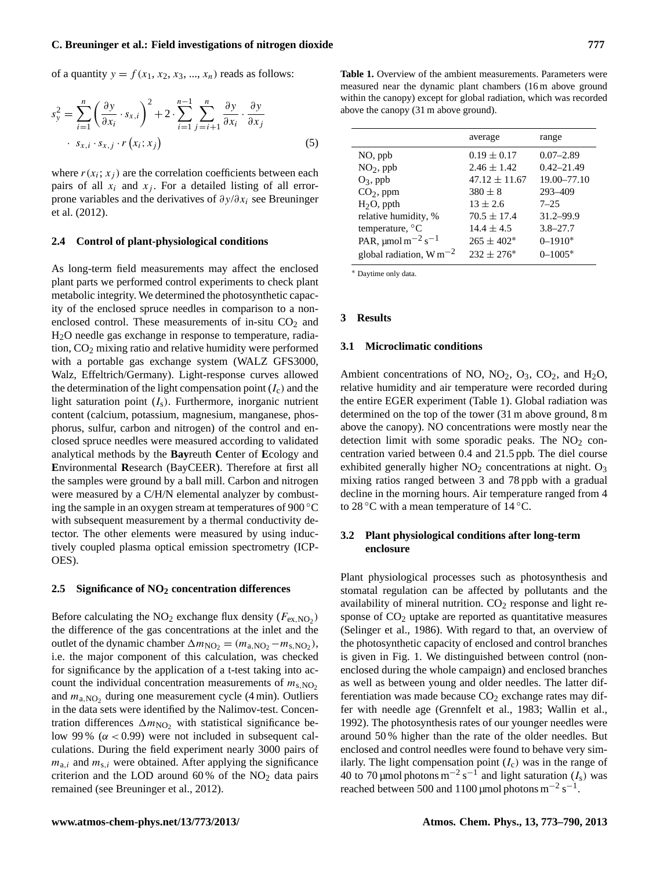of a quantity  $y = f(x_1, x_2, x_3, ..., x_n)$  reads as follows:

$$
s_y^2 = \sum_{i=1}^n \left(\frac{\partial y}{\partial x_i} \cdot s_{x,i}\right)^2 + 2 \cdot \sum_{i=1}^{n-1} \sum_{j=i+1}^n \frac{\partial y}{\partial x_i} \cdot \frac{\partial y}{\partial x_j}
$$
  
 
$$
\cdot s_{x,i} \cdot s_{x,j} \cdot r(x_i; x_j)
$$
 (5)

where  $r(x_i; x_j)$  are the correlation coefficients between each pairs of all  $x_i$  and  $x_j$ . For a detailed listing of all errorprone variables and the derivatives of  $\partial y/\partial x_i$  see Breuninger et al. (2012).

#### **2.4 Control of plant-physiological conditions**

As long-term field measurements may affect the enclosed plant parts we performed control experiments to check plant metabolic integrity. We determined the photosynthetic capacity of the enclosed spruce needles in comparison to a nonenclosed control. These measurements of in-situ  $CO<sub>2</sub>$  and H2O needle gas exchange in response to temperature, radiation,  $CO<sub>2</sub>$  mixing ratio and relative humidity were performed with a portable gas exchange system (WALZ GFS3000, Walz, Effeltrich/Germany). Light-response curves allowed the determination of the light compensation point  $(I_c)$  and the light saturation point  $(I<sub>s</sub>)$ . Furthermore, inorganic nutrient content (calcium, potassium, magnesium, manganese, phosphorus, sulfur, carbon and nitrogen) of the control and enclosed spruce needles were measured according to validated analytical methods by the **Bay**reuth **C**enter of **E**cology and **E**nvironmental **R**esearch (BayCEER). Therefore at first all the samples were ground by a ball mill. Carbon and nitrogen were measured by a C/H/N elemental analyzer by combusting the sample in an oxygen stream at temperatures of 900 ◦C with subsequent measurement by a thermal conductivity detector. The other elements were measured by using inductively coupled plasma optical emission spectrometry (ICP-OES).

# **2.5 Significance of NO<sup>2</sup> concentration differences**

Before calculating the  $NO_2$  exchange flux density ( $F_{ex,NO_2}$ ) the difference of the gas concentrations at the inlet and the outlet of the dynamic chamber  $\Delta m_{\text{NO}_2} = (m_{\text{a,NO}_2} - m_{\text{s,NO}_2}),$ i.e. the major component of this calculation, was checked for significance by the application of a t-test taking into account the individual concentration measurements of  $m_{s,NO_2}$ and  $m_{a,\text{NO}_2}$  during one measurement cycle (4 min). Outliers in the data sets were identified by the Nalimov-test. Concentration differences  $\Delta m_{\text{NO}_2}$  with statistical significance below 99 % ( $\alpha$  < 0.99) were not included in subsequent calculations. During the field experiment nearly 3000 pairs of  $m_{a,i}$  and  $m_{s,i}$  were obtained. After applying the significance criterion and the LOD around  $60\%$  of the NO<sub>2</sub> data pairs remained (see Breuninger et al., 2012).

**Table 1.** Overview of the ambient measurements. Parameters were measured near the dynamic plant chambers (16 m above ground within the canopy) except for global radiation, which was recorded above the canopy (31 m above ground).

|                                                | average           | range          |
|------------------------------------------------|-------------------|----------------|
| NO, ppb                                        | $0.19 \pm 0.17$   | $0.07 - 2.89$  |
| $NO2$ , ppb                                    | $2.46 \pm 1.42$   | $0.42 - 21.49$ |
| $O_3$ , ppb                                    | $47.12 \pm 11.67$ | 19.00-77.10    |
| $CO2$ , ppm                                    | $380 \pm 8$       | 293-409        |
| $H2O$ , ppth                                   | $13 \pm 2.6$      | $7 - 25$       |
| relative humidity, %                           | $70.5 \pm 17.4$   | $31.2 - 99.9$  |
| temperature, $^{\circ}$ C                      | $14.4 \pm 4.5$    | $3.8 - 27.7$   |
| PAR, $\mu$ mol m <sup>-2</sup> s <sup>-1</sup> | $265 \pm 402^*$   | $0 - 1910*$    |
| global radiation, $W m^{-2}$                   | $232 \pm 276^*$   | $0 - 1005*$    |

<sup>∗</sup> Daytime only data.

#### **3 Results**

#### **3.1 Microclimatic conditions**

Ambient concentrations of NO,  $NO_2$ ,  $O_3$ ,  $CO_2$ , and  $H_2O$ , relative humidity and air temperature were recorded during the entire EGER experiment (Table 1). Global radiation was determined on the top of the tower (31 m above ground, 8 m above the canopy). NO concentrations were mostly near the detection limit with some sporadic peaks. The  $NO<sub>2</sub>$  concentration varied between 0.4 and 21.5 ppb. The diel course exhibited generally higher  $NO<sub>2</sub>$  concentrations at night.  $O<sub>3</sub>$ mixing ratios ranged between 3 and 78 ppb with a gradual decline in the morning hours. Air temperature ranged from 4 to 28  $\degree$ C with a mean temperature of 14  $\degree$ C.

# **3.2 Plant physiological conditions after long-term enclosure**

Plant physiological processes such as photosynthesis and stomatal regulation can be affected by pollutants and the availability of mineral nutrition.  $CO<sub>2</sub>$  response and light response of  $CO<sub>2</sub>$  uptake are reported as quantitative measures (Selinger et al., 1986). With regard to that, an overview of the photosynthetic capacity of enclosed and control branches is given in Fig. 1. We distinguished between control (nonenclosed during the whole campaign) and enclosed branches as well as between young and older needles. The latter differentiation was made because  $CO<sub>2</sub>$  exchange rates may differ with needle age (Grennfelt et al., 1983; Wallin et al., 1992). The photosynthesis rates of our younger needles were around 50 % higher than the rate of the older needles. But enclosed and control needles were found to behave very similarly. The light compensation point  $(I_c)$  was in the range of 40 to 70 µmol photons m<sup>-2</sup> s<sup>-1</sup> and light saturation  $(I_s)$  was reached between 500 and 1100 µmol photons  $m^{-2} s^{-1}$ .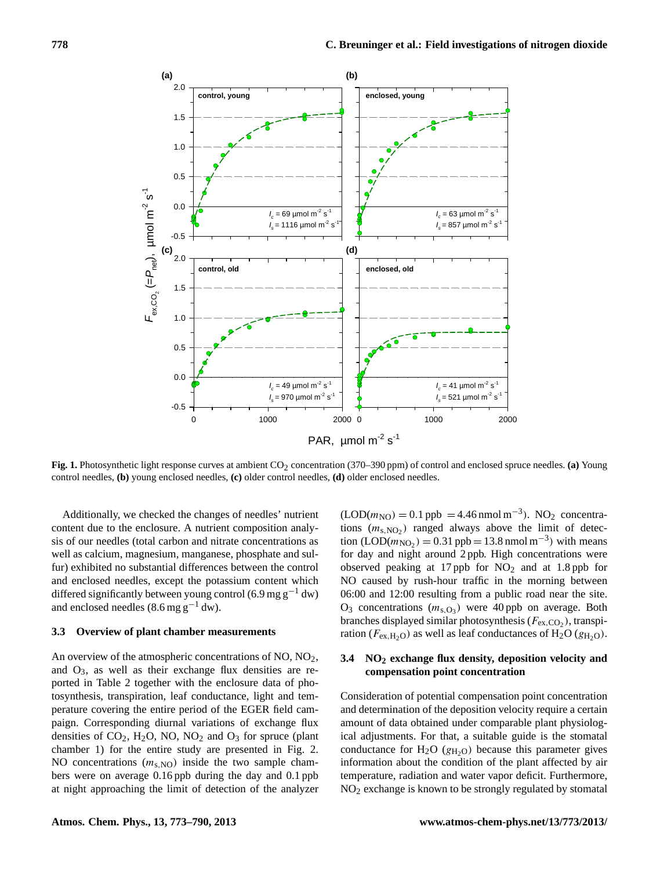

Fig. 1. Photosynthetic light response curves at ambient CO<sub>2</sub> concentration (370–390 ppm) of control and enclosed spruce needles. (a) Young control needles, **(b)** young enclosed needles, **(c)** older control needles, **(d)** older enclosed needles.

content due to the enclosure. A nutrient composition analysis of our needles (total carbon and nitrate concentrations as Additionally, we checked the changes of needles' nutrient well as calcium, magnesium, manganese, phosphate and sulfur) exhibited no substantial differences between the control and enclosed needles, except the potassium content which differed significantly between young control (6.9 mg g<sup>-1</sup> dw) and enclosed needles  $(8.6 \text{ mg g}^{-1} \text{ dw})$ .

### **3.3 Overview of plant chamber measurements**

An overview of the atmospheric concentrations of NO, NO<sub>2</sub>, and O3, as well as their exchange flux densities are reported in Table 2 together with the enclosure data of photosynthesis, transpiration, leaf conductance, light and temperature covering the entire period of the EGER field campaign. Corresponding diurnal variations of exchange flux densities of  $CO_2$ , H<sub>2</sub>O, NO, NO<sub>2</sub> and O<sub>3</sub> for spruce (plant chamber 1) for the entire study are presented in Fig. 2. NO concentrations  $(m<sub>s</sub>_{\text{NO}})$  inside the two sample chambers were on average 0.16 ppb during the day and 0.1 ppb at night approaching the limit of detection of the analyzer

 $(LOD(m<sub>NO</sub>) = 0.1$  ppb = 4.46 nmol m<sup>-3</sup>). NO<sub>2</sub> concentrations  $(m_{s,NO_2})$  ranged always above the limit of detection  $(LOD(m_{NO_2}) = 0.31$  ppb = 13.8 nmol m<sup>-3</sup>) with means for day and night around 2 ppb. High concentrations were observed peaking at 17 ppb for  $NO<sub>2</sub>$  and at 1.8 ppb for NO caused by rush-hour traffic in the morning between 06:00 and 12:00 resulting from a public road near the site.  $O_3$  concentrations  $(m_{s,O_3})$  were 40 ppb on average. Both branches displayed similar photosynthesis ( $F_{\text{ex,CO}_2}$ ), transpiration ( $F_{\text{ex,H}_2\text{O}}$ ) as well as leaf conductances of H<sub>2</sub>O ( $g_{\text{H}_2\text{O}}$ ).

# **3.4 NO<sup>2</sup> exchange flux density, deposition velocity and compensation point concentration**

Consideration of potential compensation point concentration and determination of the deposition velocity require a certain amount of data obtained under comparable plant physiological adjustments. For that, a suitable guide is the stomatal conductance for  $H_2O$  ( $g_{H_2O}$ ) because this parameter gives information about the condition of the plant affected by air temperature, radiation and water vapor deficit. Furthermore, NO<sup>2</sup> exchange is known to be strongly regulated by stomatal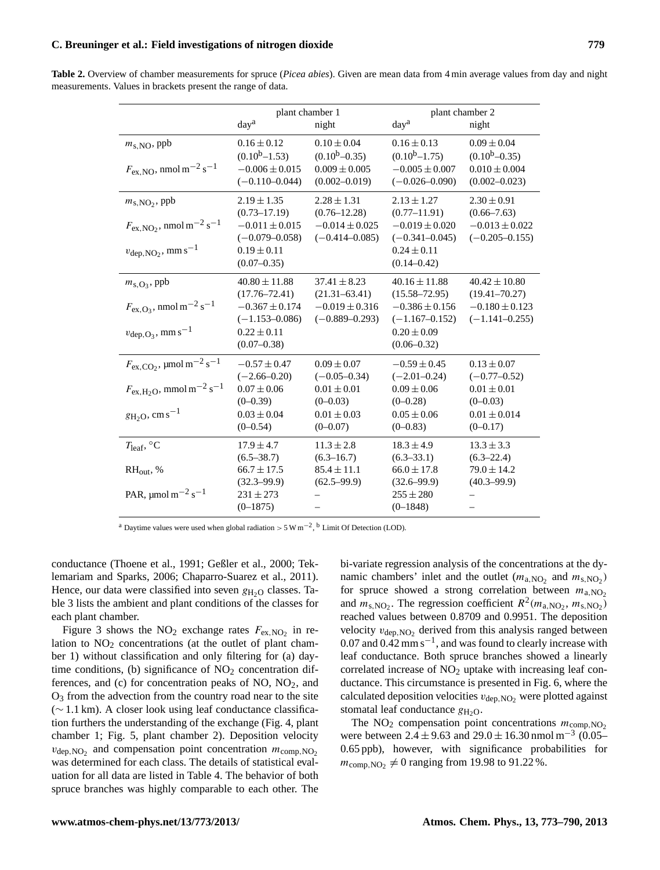| Table 2. Overview of chamber measurements for spruce (Picea abies). Given are mean data from 4 min average values from day and night |  |
|--------------------------------------------------------------------------------------------------------------------------------------|--|
| measurements. Values in brackets present the range of data.                                                                          |  |

|                                                                                                                                                                                        | plant chamber 1<br>day <sup>a</sup><br>night                                                                             |                                                                                                       | day <sup>a</sup>                                                                                                         | plant chamber 2<br>night                                                                             |
|----------------------------------------------------------------------------------------------------------------------------------------------------------------------------------------|--------------------------------------------------------------------------------------------------------------------------|-------------------------------------------------------------------------------------------------------|--------------------------------------------------------------------------------------------------------------------------|------------------------------------------------------------------------------------------------------|
| $m_{\rm s, NO}$ , ppb<br>$F_{\text{ex,NO}}$ , nmol m <sup>-2</sup> s <sup>-1</sup>                                                                                                     | $0.16 \pm 0.12$<br>$(0.10b-1.53)$<br>$-0.006 \pm 0.015$<br>$(-0.110 - 0.044)$                                            | $0.10 \pm 0.04$<br>$(0.10b-0.35)$<br>$0.009 \pm 0.005$<br>$(0.002 - 0.019)$                           | $0.16 \pm 0.13$<br>$(0.10b-1.75)$<br>$-0.005 \pm 0.007$<br>$(-0.026 - 0.090)$                                            | $0.09 \pm 0.04$<br>$(0.10b-0.35)$<br>$0.010 \pm 0.004$<br>$(0.002 - 0.023)$                          |
| $m_{\rm s,NO_2}$ , ppb<br>$F_{\text{ex,NO}_2}$ , nmol m <sup>-2</sup> s <sup>-1</sup><br>$v_{\text{dep,NO}_2}$ , mm s <sup>-1</sup>                                                    | $2.19 \pm 1.35$<br>$(0.73 - 17.19)$<br>$-0.011 \pm 0.015$<br>$(-0.079 - 0.058)$<br>$0.19 \pm 0.11$<br>$(0.07 - 0.35)$    | $2.28 \pm 1.31$<br>$(0.76 - 12.28)$<br>$-0.014 \pm 0.025$<br>$(-0.414 - 0.085)$                       | $2.13 \pm 1.27$<br>$(0.77 - 11.91)$<br>$-0.019 \pm 0.020$<br>$(-0.341 - 0.045)$<br>$0.24 \pm 0.11$<br>$(0.14 - 0.42)$    | $2.30 \pm 0.91$<br>$(0.66 - 7.63)$<br>$-0.013 \pm 0.022$<br>$(-0.205 - 0.155)$                       |
| $m_{\rm s,O_3}$ , ppb<br>$F_{\rm ex, O_3}$ , nmol m <sup>-2</sup> s <sup>-1</sup><br>$v_{\text{dep},O_3}$ , mm s <sup>-1</sup>                                                         | $40.80 \pm 11.88$<br>$(17.76 - 72.41)$<br>$-0.367 \pm 0.174$<br>$(-1.153 - 0.086)$<br>$0.22 \pm 0.11$<br>$(0.07 - 0.38)$ | $37.41 \pm 8.23$<br>$(21.31 - 63.41)$<br>$-0.019 \pm 0.316$<br>$(-0.889 - 0.293)$                     | $40.16 \pm 11.88$<br>$(15.58 - 72.95)$<br>$-0.386 \pm 0.156$<br>$(-1.167 - 0.152)$<br>$0.20 \pm 0.09$<br>$(0.06 - 0.32)$ | $40.42 \pm 10.80$<br>$(19.41 - 70.27)$<br>$-0.180 \pm 0.123$<br>$(-1.141 - 0.255)$                   |
| $F_{\rm ex,CO_2}$ , µmol m <sup>-2</sup> s <sup>-1</sup><br>$F_{\text{ex},\text{H}_2\text{O}}$ , mmol m <sup>-2</sup> s <sup>-1</sup><br>$g_{\text{H}_2\text{O}}$ , cm s <sup>-1</sup> | $-0.57 \pm 0.47$<br>$(-2.66 - 0.20)$<br>$0.07 \pm 0.06$<br>$(0-0.39)$<br>$0.03 \pm 0.04$<br>$(0 - 0.54)$                 | $0.09 \pm 0.07$<br>$(-0.05 - 0.34)$<br>$0.01 \pm 0.01$<br>$(0-0.03)$<br>$0.01 \pm 0.03$<br>$(0-0.07)$ | $-0.59 \pm 0.45$<br>$(-2.01 - 0.24)$<br>$0.09 \pm 0.06$<br>$(0-0.28)$<br>$0.05 \pm 0.06$<br>$(0-0.83)$                   | $0.13 \pm 0.07$<br>$(-0.77-0.52)$<br>$0.01 \pm 0.01$<br>$(0-0.03)$<br>$0.01 \pm 0.014$<br>$(0-0.17)$ |
| $T_{\text{leaf}}$ , °C<br>$RH_{\text{out}}, \%$<br>PAR, $\mu$ mol m <sup>-2</sup> s <sup>-1</sup>                                                                                      | $17.9 \pm 4.7$<br>$(6.5 - 38.7)$<br>$66.7 \pm 17.5$<br>$(32.3 - 99.9)$<br>$231 \pm 273$<br>$(0-1875)$                    | $11.3 \pm 2.8$<br>$(6.3 - 16.7)$<br>$85.4 \pm 11.1$<br>$(62.5 - 99.9)$                                | $18.3 \pm 4.9$<br>$(6.3 - 33.1)$<br>$66.0 \pm 17.8$<br>$(32.6 - 99.9)$<br>$255 \pm 280$<br>$(0-1848)$                    | $13.3 \pm 3.3$<br>$(6.3 - 22.4)$<br>$79.0 \pm 14.2$<br>$(40.3 - 99.9)$                               |

<sup>a</sup> Daytime values were used when global radiation > 5 W m<sup>-2</sup>, <sup>b</sup> Limit Of Detection (LOD).

conductance (Thoene et al., 1991; Geßler et al., 2000; Teklemariam and Sparks, 2006; Chaparro-Suarez et al., 2011). Hence, our data were classified into seven  $g_{H_2O}$  classes. Table 3 lists the ambient and plant conditions of the classes for each plant chamber.

Figure 3 shows the  $NO_2$  exchange rates  $F_{ex,NO_2}$  in relation to  $NO<sub>2</sub>$  concentrations (at the outlet of plant chamber 1) without classification and only filtering for (a) daytime conditions, (b) significance of  $NO<sub>2</sub>$  concentration differences, and (c) for concentration peaks of  $NO$ ,  $NO<sub>2</sub>$ , and  $O<sub>3</sub>$  from the advection from the country road near to the site (∼ 1.1 km). A closer look using leaf conductance classification furthers the understanding of the exchange (Fig. 4, plant chamber 1; Fig. 5, plant chamber 2). Deposition velocity  $v_{\text{dep, NO}_2}$  and compensation point concentration  $m_{\text{comp, NO}_2}$ was determined for each class. The details of statistical evaluation for all data are listed in Table 4. The behavior of both spruce branches was highly comparable to each other. The

bi-variate regression analysis of the concentrations at the dynamic chambers' inlet and the outlet  $(m_{a,NO_2})$  and  $m_{s,NO_2}$ ) for spruce showed a strong correlation between  $m_{a,\text{NO}_2}$ and  $m_{s,NO_2}$ . The regression coefficient  $R^2(m_{a,NO_2}, m_{s,NO_2})$ reached values between 0.8709 and 0.9951. The deposition velocity  $v_{\text{dep, NO}_2}$  derived from this analysis ranged between  $0.07$  and  $0.42$  mm s<sup>-1</sup>, and was found to clearly increase with leaf conductance. Both spruce branches showed a linearly correlated increase of  $NO<sub>2</sub>$  uptake with increasing leaf conductance. This circumstance is presented in Fig. 6, where the calculated deposition velocities  $v_{\text{dep, NO_2}}$  were plotted against stomatal leaf conductance  $g_{H_2O}$ .

The  $NO<sub>2</sub>$  compensation point concentrations  $m_{comp,NO<sub>2</sub>}$ were between  $2.4 \pm 9.63$  and  $29.0 \pm 16.30$  nmol m<sup>-3</sup> (0.05– 0.65 ppb), however, with significance probabilities for  $m_{\text{comp,NO}_2} \neq 0$  ranging from 19.98 to 91.22 %.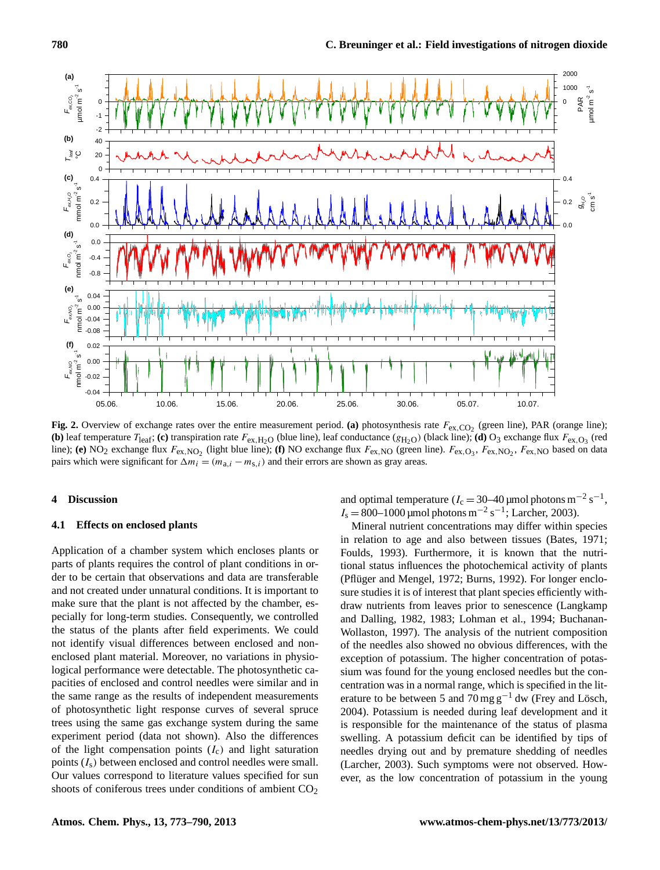

Fig. 2. Overview of exchange rates over the entire measurement period. (a) photosynthesis rate  $F_{ex,CO_2}$  (green line), PAR (orange line); (b) leaf temperature  $T_{\text{leaf}}$ ; (c) transpiration rate  $F_{\text{ex},\text{H}_2\text{O}}$  (blue line), leaf conductance ( $g_{\text{H}_2\text{O}}$ ) (black line); (d) O<sub>3</sub> exchange flux  $F_{\text{ex},\text{O}_3}$  (red line); (e) NO<sub>2</sub> exchange flux  $F_{\text{ex,NO}_2}$  (light blue line); (f) NO exchange flux  $F_{\text{ex,NO}}$  (green line).  $F_{\text{ex,O}_3}$ ,  $F_{\text{ex,NO}_2}$ ,  $F_{\text{ex,NO}}$  based on data 5 Δ*mi* = (*ma,i* – *ms,i*) and their errors are shown as gray areas. pairs which were significant for  $\Delta m_i = (m_{a,i} - m_{s,i})$  and their errors are shown as gray areas.

## **4 Discussion**

## **4.1 Effects on enclosed plants**

Application of a chamber system which encloses plants or parts of plants requires the control of plant conditions in order to be certain that observations and data are transferable and not created under unnatural conditions. It is important to make sure that the plant is not affected by the chamber, especially for long-term studies. Consequently, we controlled the status of the plants after field experiments. We could not identify visual differences between enclosed and nonenclosed plant material. Moreover, no variations in physiological performance were detectable. The photosynthetic capacities of enclosed and control needles were similar and in the same range as the results of independent measurements of photosynthetic light response curves of several spruce trees using the same gas exchange system during the same experiment period (data not shown). Also the differences of the light compensation points  $(I_c)$  and light saturation points  $(I_s)$  between enclosed and control needles were small. Our values correspond to literature values specified for sun shoots of coniferous trees under conditions of ambient CO<sub>2</sub>

and optimal temperature ( $I_c = 30-40$  µmol photons m<sup>-2</sup> s<sup>-1</sup>,  $I_s = 800 - 1000$  µmol photons m<sup>-2</sup> s<sup>-1</sup>; Larcher, 2003).

Mineral nutrient concentrations may differ within species in relation to age and also between tissues (Bates, 1971; Foulds, 1993). Furthermore, it is known that the nutritional status influences the photochemical activity of plants (Pflüger and Mengel, 1972; Burns, 1992). For longer enclosure studies it is of interest that plant species efficiently withdraw nutrients from leaves prior to senescence (Langkamp and Dalling, 1982, 1983; Lohman et al., 1994; Buchanan-Wollaston, 1997). The analysis of the nutrient composition of the needles also showed no obvious differences, with the exception of potassium. The higher concentration of potassium was found for the young enclosed needles but the concentration was in a normal range, which is specified in the literature to be between 5 and 70 mg  $g^{-1}$  dw (Frey and Lösch, 2004). Potassium is needed during leaf development and it is responsible for the maintenance of the status of plasma swelling. A potassium deficit can be identified by tips of needles drying out and by premature shedding of needles (Larcher, 2003). Such symptoms were not observed. However, as the low concentration of potassium in the young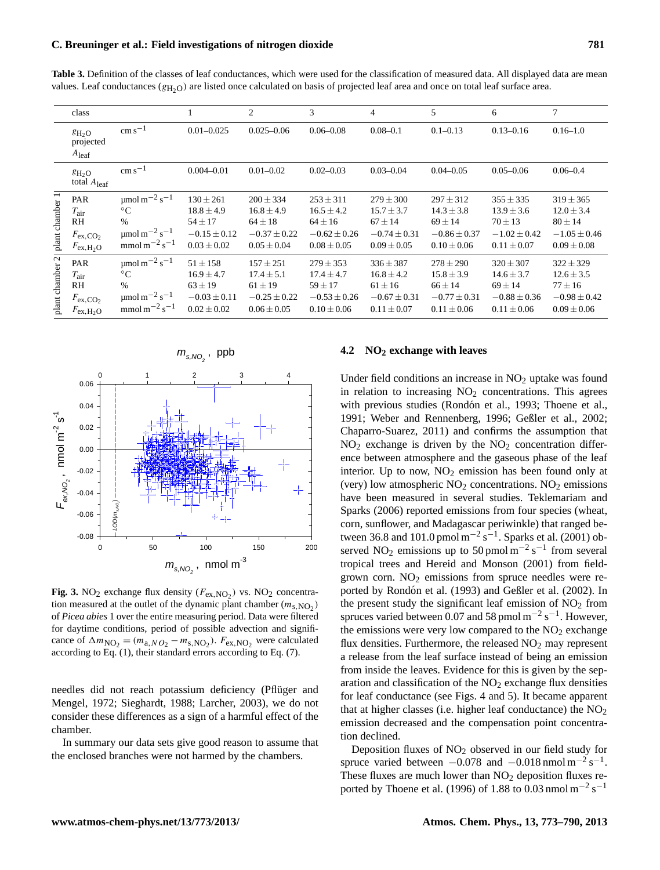Table 3. Definition of the classes of leaf conductances, which were used for the classification of measured data. All displayed data are mean values. Leaf conductances  $(g_{H_2O})$  are listed once calculated on basis of projected leaf area and once on total leaf surface area.

|                 | class                                                                                           |                                                                                                                                             |                                                                                       | 2                                                                                     | 3                                                                                     | 4                                                                                     | 5                                                                                     | 6                                                                                     | 7                                                                                     |
|-----------------|-------------------------------------------------------------------------------------------------|---------------------------------------------------------------------------------------------------------------------------------------------|---------------------------------------------------------------------------------------|---------------------------------------------------------------------------------------|---------------------------------------------------------------------------------------|---------------------------------------------------------------------------------------|---------------------------------------------------------------------------------------|---------------------------------------------------------------------------------------|---------------------------------------------------------------------------------------|
|                 | $g_{H2O}$<br>projected<br>$A_{\text{leaf}}$                                                     | $\rm cm\,s^{-1}$                                                                                                                            | $0.01 - 0.025$                                                                        | $0.025 - 0.06$                                                                        | $0.06 - 0.08$                                                                         | $0.08 - 0.1$                                                                          | $0.1 - 0.13$                                                                          | $0.13 - 0.16$                                                                         | $0.16 - 1.0$                                                                          |
|                 | $g_{H2O}$<br>total $A_{\text{leaf}}$                                                            | $\rm cm\,s^{-1}$                                                                                                                            | $0.004 - 0.01$                                                                        | $0.01 - 0.02$                                                                         | $0.02 - 0.03$                                                                         | $0.03 - 0.04$                                                                         | $0.04 - 0.05$                                                                         | $0.05 - 0.06$                                                                         | $0.06 - 0.4$                                                                          |
| plant chamber 1 | <b>PAR</b><br>$T_{\rm air}$<br>RH<br>$F_{\text{ex,CO}_2}$<br>$F_{\text{ex},\text{H}_2\text{O}}$ | $\mu$ mol m <sup>-2</sup> s <sup>-1</sup><br>$\rm ^{\circ}C$<br>$\%$<br>$\mu$ mol m <sup>-2</sup> s <sup>-1</sup><br>$mmol\,m^{-2}\,s^{-1}$ | $130 \pm 261$<br>$18.8 \pm 4.9$<br>$54 \pm 17$<br>$-0.15 \pm 0.12$<br>$0.03 \pm 0.02$ | $200 \pm 334$<br>$16.8 \pm 4.9$<br>$64 \pm 18$<br>$-0.37 \pm 0.22$<br>$0.05 \pm 0.04$ | $253 \pm 311$<br>$16.5 \pm 4.2$<br>$64 \pm 16$<br>$-0.62 \pm 0.26$<br>$0.08 \pm 0.05$ | $279 \pm 300$<br>$15.7 \pm 3.7$<br>$67 \pm 14$<br>$-0.74 \pm 0.31$<br>$0.09 \pm 0.05$ | $297 \pm 312$<br>$14.3 \pm 3.8$<br>$69 \pm 14$<br>$-0.86 \pm 0.37$<br>$0.10 \pm 0.06$ | $355 \pm 335$<br>$13.9 \pm 3.6$<br>$70 \pm 13$<br>$-1.02 \pm 0.42$<br>$0.11 \pm 0.07$ | $319 \pm 365$<br>$12.0 \pm 3.4$<br>$80 \pm 14$<br>$-1.05 \pm 0.46$<br>$0.09 \pm 0.08$ |
| plant chamber 2 | PAR<br>$T_{\rm air}$<br>R <sub>H</sub><br>$F_{\text{ex,CO}_2}$<br>$F_{\rm ex,H_2O}$             | $\mu$ mol m <sup>-2</sup> s <sup>-1</sup><br>$\rm ^{\circ}C$<br>$\%$<br>$\mu$ mol m <sup>-2</sup> s <sup>-1</sup><br>$mmol\,m^{-2}\,s^{-1}$ | $51 \pm 158$<br>$16.9 \pm 4.7$<br>$63 \pm 19$<br>$-0.03 \pm 0.11$<br>$0.02 \pm 0.02$  | $157 \pm 251$<br>$17.4 \pm 5.1$<br>$61 \pm 19$<br>$-0.25 \pm 0.22$<br>$0.06 \pm 0.05$ | $279 \pm 353$<br>$17.4 \pm 4.7$<br>$59 \pm 17$<br>$-0.53 \pm 0.26$<br>$0.10 \pm 0.06$ | $336 \pm 387$<br>$16.8 \pm 4.2$<br>$61 \pm 16$<br>$-0.67 \pm 0.31$<br>$0.11 \pm 0.07$ | $278 \pm 290$<br>$15.8 \pm 3.9$<br>$66 \pm 14$<br>$-0.77 \pm 0.31$<br>$0.11 \pm 0.06$ | $320 \pm 307$<br>$14.6 \pm 3.7$<br>$69 \pm 14$<br>$-0.88 \pm 0.36$<br>$0.11 \pm 0.06$ | $322 \pm 329$<br>$12.6 \pm 3.5$<br>$77 \pm 16$<br>$-0.98 \pm 0.42$<br>$0.09 \pm 0.06$ |



**Fig. 3.** NO<sub>2</sub> exchange flux density  $(F_{\text{ex,NO}_2})$  vs. NO<sub>2</sub> concentration measured at the outlet of the dynamic plant chamber  $(m_{s,NO_2})$ of Picea abies 1 over the entire measuring period. Data were filtered for daytime conditions, period of possible advection and significance of  $\Delta m_{\text{NO}_2} = (m_{\text{a},NO_2} - m_{\text{s},\text{NO}_2})$ .  $F_{\text{ex},\text{NO}_2}$  were calculated according to Eq. (1), their standard errors according to Eq. (7).

needles did not reach potassium deficiency (Pflüger and Mengel, 1972; Sieghardt, 1988; Larcher, 2003), we do not consider these differences as a sign of a harmful effect of the chamber.

In summary our data sets give good reason to assume that the enclosed branches were not harmed by the chambers.

#### **4.2 NO<sup>2</sup> exchange with leaves**

Under field conditions an increase in  $NO<sub>2</sub>$  uptake was found in relation to increasing  $NO<sub>2</sub>$  concentrations. This agrees with previous studies (Rondón et al., 1993; Thoene et al., 1991; Weber and Rennenberg, 1996; Geßler et al., 2002; Chaparro-Suarez, 2011) and confirms the assumption that  $NO<sub>2</sub>$  exchange is driven by the  $NO<sub>2</sub>$  concentration difference between atmosphere and the gaseous phase of the leaf interior. Up to now,  $NO<sub>2</sub>$  emission has been found only at (very) low atmospheric  $NO<sub>2</sub>$  concentrations.  $NO<sub>2</sub>$  emissions have been measured in several studies. Teklemariam and Sparks (2006) reported emissions from four species (wheat, corn, sunflower, and Madagascar periwinkle) that ranged between 36.8 and 101.0 pmol m<sup>-2</sup> s<sup>-1</sup>. Sparks et al. (2001) observed NO<sub>2</sub> emissions up to 50 pmol  $m^{-2} s^{-1}$  from several tropical trees and Hereid and Monson (2001) from fieldgrown corn.  $NO<sub>2</sub>$  emissions from spruce needles were reported by Rondón et al. (1993) and Geßler et al. (2002). In the present study the significant leaf emission of  $NO<sub>2</sub>$  from spruces varied between 0.07 and 58 pmol  $\text{m}^{-2}$  s<sup>-1</sup>. However, the emissions were very low compared to the  $NO<sub>2</sub>$  exchange flux densities. Furthermore, the released  $NO<sub>2</sub>$  may represent a release from the leaf surface instead of being an emission from inside the leaves. Evidence for this is given by the separation and classification of the  $NO<sub>2</sub>$  exchange flux densities for leaf conductance (see Figs. 4 and 5). It became apparent that at higher classes (i.e. higher leaf conductance) the  $NO<sub>2</sub>$ emission decreased and the compensation point concentration declined.

Deposition fluxes of  $NO<sub>2</sub>$  observed in our field study for spruce varied between  $-0.078$  and  $-0.018$  nmol m<sup>-2</sup> s<sup>-1</sup>. These fluxes are much lower than  $NO<sub>2</sub>$  deposition fluxes reported by Thoene et al. (1996) of 1.88 to 0.03 nmol m<sup>-2</sup> s<sup>-1</sup>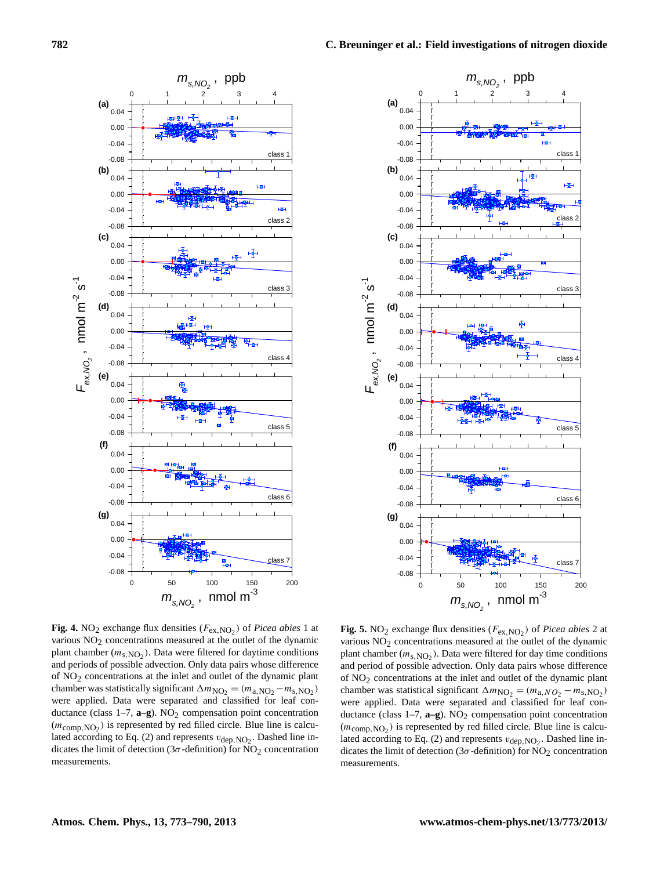



**Fig. 4.** NO<sub>2</sub> exchange flux densities ( $F_{\text{ex,NO}_2}$ ) of *Picea abies* 1 at **Fig. 5.** NO<sub>2</sub> exc various  $NO_2$  concentrations measured at the outlet of the dynamic various  $NO_2$  corplant chamber  $(m<sub>s,NO<sub>2</sub></sub>)$ . Data were filtered for daytime conditions plant chamber (*n* and periods of possible advection. Only data pairs whose difference and period of possible advection. Only data pairs whose difference chamber was statistically significant  $\Delta m_{\text{NO}_2} = (m_{\text{a,NO}_2} - m_{\text{s,NO}_2})$  chamber was statistically *were applied. Data were separated and classified for lear con-* were applied. L<br>ductance (class 1–7, **a–g**). NO<sub>2</sub> compensation point concentration ductance (class 1  $(m_{\text{comp,NO}_2})$  is represented by red filled circle. Blue line is calcu-<br> $(m_{\text{comp,NO}_2})$  is represented by red filled circle. Blue line is calcudicates the limit of detection (3 $\sigma$ -definition) for NO<sub>2</sub> concentration dicates the limit *n*etation *indicates representation* in the line indicate the line indicate the line indicate the line in the line in the line of detection (30-definition) for  $\alpha$ various  $NO<sub>2</sub>$  concentrations measured at the outlet of the dynamic of NO2 concentrations at the inlet and outlet of the dynamic plant were applied. Data were separated and classified for leaf conlated according to Eq. (2) and represents  $v_{\text{dep, NO}_2}$ . Dashed line inmeasurements.

 $\mathbf{F}_{\mathbf{R}}$  ( $\mathbf{F}_{\mathbf{R}}$ ) of *Picea abies* 1 at **Fig. 5.** NO<sub>2</sub> exchange flux densities ( $F_{\text{ex,NO}_2}$ ) of *Picea abies* 2 at  $\frac{3}{2}$  concentrations measured at the outlet of the dynamic plant chamber  $(m_{s, NO_2})$ . Data were filtered for day time conditions ta pairs whose difference and period of possible advection. Only data pairs whose difference  $\frac{1}{2}$  $S_2 = (m_{a,NO_2} - m_{s,NO_2})$  chamber was statistical significant  $\Delta m_{NO_2} = (m_{a,NO_2} - m_{s,NO_2})$ tion point concentration ductance (class 1–7, **a–g**). NO<sub>2</sub> compensation point concentration Firele. Blue line is calcu-<br>  $(m_{\text{comp},\text{NO}_2})$  is represented by red filled circle. Blue line is calcu-<br>  $\frac{1}{2}$   $\frac{1}{2}$   $\frac{1}{2}$  and  $\frac{1}{2}$  and  $\frac{1}{2}$   $\frac{1}{2}$  and  $\frac{1}{2}$   $\frac{1}{2}$  and  $\frac{1}{2}$   $\frac{1}{2}$  a) for NO<sub>2</sub> concentration dicates the limit of detection (3 $\sigma$ -definition) for NO<sub>2</sub> concentration various NO<sub>2</sub> concentrations measured at the outlet of the dynamic of  $NO<sub>2</sub>$  concentrations at the inlet and outlet of the dynamic plant were applied. Data were separated and classified for leaf conlated according to Eq. (2) and represents  $v_{\text{dep, NO}_2}$ . Dashed line inmeasurements.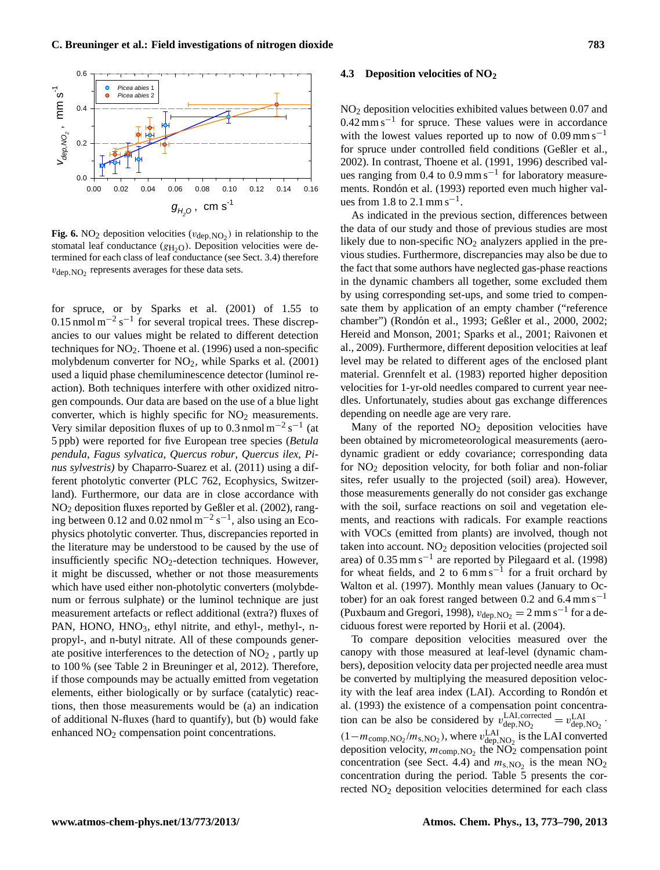

**Fig. 6.** NO<sub>2</sub> deposition velocities ( $v_{\text{dep, NO2}}$ ) in relationship to the stomatal leaf conductance  $(g_{H_2O})$ . Deposition velocities were determined for each class of leaf conductance (see Sect. 3.4) therefore  $v_{\text{dep, NO}_2}$  represents averages for these data sets.

for spruce, or by Sparks et al. (2001) of 1.55 to  $0.15$  nmol m<sup>-2</sup> s<sup>-1</sup> for several tropical trees. These discrepancies to our values might be related to different detection techniques for  $NO<sub>2</sub>$ . Thoene et al. (1996) used a non-specific molybdenum converter for  $NO<sub>2</sub>$ , while Sparks et al. (2001) used a liquid phase chemiluminescence detector (luminol reaction). Both techniques interfere with other oxidized nitrogen compounds. Our data are based on the use of a blue light converter, which is highly specific for  $NO<sub>2</sub>$  measurements. Very similar deposition fluxes of up to 0.3 nmol  $m^{-2} s^{-1}$  (at 5 ppb) were reported for five European tree species (*Betula pendula*, *Fagus sylvatica*, *Quercus robur*, *Quercus ilex*, *Pinus sylvestris)* by Chaparro-Suarez et al. (2011) using a different photolytic converter (PLC 762, Ecophysics, Switzerland). Furthermore, our data are in close accordance with NO<sup>2</sup> deposition fluxes reported by Geßler et al. (2002), ranging between 0.12 and 0.02 nmol  $m^{-2} s^{-1}$ , also using an Ecophysics photolytic converter. Thus, discrepancies reported in the literature may be understood to be caused by the use of insufficiently specific NO<sub>2</sub>-detection techniques. However, it might be discussed, whether or not those measurements which have used either non-photolytic converters (molybdenum or ferrous sulphate) or the luminol technique are just measurement artefacts or reflect additional (extra?) fluxes of PAN, HONO, HNO<sub>3</sub>, ethyl nitrite, and ethyl-, methyl-, npropyl-, and n-butyl nitrate. All of these compounds generate positive interferences to the detection of  $NO<sub>2</sub>$ , partly up to 100 % (see Table 2 in Breuninger et al, 2012). Therefore, if those compounds may be actually emitted from vegetation elements, either biologically or by surface (catalytic) reactions, then those measurements would be (a) an indication of additional N-fluxes (hard to quantify), but (b) would fake enhanced NO<sub>2</sub> compensation point concentrations.

#### **4.3 Deposition velocities of NO<sup>2</sup>**

NO<sup>2</sup> deposition velocities exhibited values between 0.07 and 0.42 mm s−<sup>1</sup> for spruce. These values were in accordance with the lowest values reported up to now of  $0.09 \text{ mm s}^{-1}$ for spruce under controlled field conditions (Geßler et al., 2002). In contrast, Thoene et al. (1991, 1996) described values ranging from  $0.4$  to  $0.9$  mm s<sup>-1</sup> for laboratory measurements. Rondón et al. (1993) reported even much higher values from 1.8 to 2.1 mm s<sup>-1</sup>.

As indicated in the previous section, differences between the data of our study and those of previous studies are most likely due to non-specific  $NO<sub>2</sub>$  analyzers applied in the previous studies. Furthermore, discrepancies may also be due to the fact that some authors have neglected gas-phase reactions in the dynamic chambers all together, some excluded them by using corresponding set-ups, and some tried to compensate them by application of an empty chamber ("reference chamber") (Rondón et al., 1993; Geßler et al., 2000, 2002; Hereid and Monson, 2001; Sparks et al., 2001; Raivonen et al., 2009). Furthermore, different deposition velocities at leaf level may be related to different ages of the enclosed plant material. Grennfelt et al. (1983) reported higher deposition velocities for 1-yr-old needles compared to current year needles. Unfortunately, studies about gas exchange differences depending on needle age are very rare.

Many of the reported  $NO<sub>2</sub>$  deposition velocities have been obtained by micrometeorological measurements (aerodynamic gradient or eddy covariance; corresponding data for  $NO<sub>2</sub>$  deposition velocity, for both foliar and non-foliar sites, refer usually to the projected (soil) area). However, those measurements generally do not consider gas exchange with the soil, surface reactions on soil and vegetation elements, and reactions with radicals. For example reactions with VOCs (emitted from plants) are involved, though not taken into account.  $NO<sub>2</sub>$  deposition velocities (projected soil area) of 0.35 mm s−<sup>1</sup> are reported by Pilegaard et al. (1998) for wheat fields, and 2 to  $6 \text{ mm s}^{-1}$  for a fruit orchard by Walton et al. (1997). Monthly mean values (January to October) for an oak forest ranged between 0.2 and 6.4 mm s−<sup>1</sup> (Puxbaum and Gregori, 1998),  $v_{\text{dep, NO}_2} = 2 \text{ mm s}^{-1}$  for a deciduous forest were reported by Horii et al. (2004).

To compare deposition velocities measured over the canopy with those measured at leaf-level (dynamic chambers), deposition velocity data per projected needle area must be converted by multiplying the measured deposition velocity with the leaf area index (LAI). According to Rondón et al. (1993) the existence of a compensation point concentration can be also be considered by  $v_{\text{den NO}}^{\text{LAI, corrected}}$  $L$ AI, corrected  $= v_{\text{dep, NO}_2}^{\text{LAI}}$ .  $(1-m_{\text{comp,NO}_2}/m_{\text{s,NO}_2})$ , where  $v_{\text{dep,NO}_2}^{\text{LAI}}$  is the LAI converted deposition velocity,  $m_{\text{comp,}NO_2}$  the NO<sub>2</sub> compensation point concentration (see Sect. 4.4) and  $m_{s,NO_2}$  is the mean NO<sub>2</sub> concentration during the period. Table 5 presents the corrected NO<sup>2</sup> deposition velocities determined for each class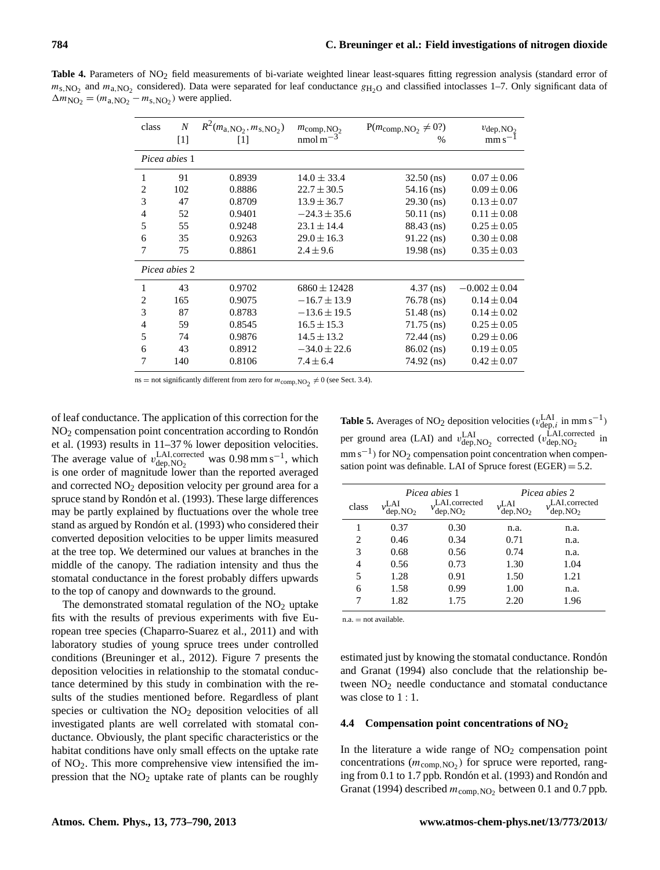Table 4. Parameters of NO<sub>2</sub> field measurements of bi-variate weighted linear least-squares fitting regression analysis (standard error of  $m_{s,NO_2}$  and  $m_{a,NO_2}$  considered). Data were separated for leaf conductance  $g_{H_2O}$  and classified intoclasses 1–7. Only significant data of  $\Delta m_{\text{NO}_2} = (m_{\text{a,NO}_2} - m_{\text{s,NO}_2})$  were applied.

| class          | $\boldsymbol{N}$<br>$\lceil 1 \rceil$ | $R^2(m_{\rm a, NO_2}, m_{\rm s, NO_2})$<br>$[1]$ | $m_{\text{comp, NO}_2}$<br>nmol m $^{-3}$ | $P(m_{\text{comp, NO}_2} \neq 0?)$<br>% | $v_{\rm dep,NO_2}$<br>$\text{mm s}^{-1}$ |
|----------------|---------------------------------------|--------------------------------------------------|-------------------------------------------|-----------------------------------------|------------------------------------------|
|                |                                       |                                                  |                                           |                                         |                                          |
|                | Picea abies 1                         |                                                  |                                           |                                         |                                          |
| 1              | 91                                    | 0.8939                                           | $14.0 \pm 33.4$                           | $32.50$ (ns)                            | $0.07 \pm 0.06$                          |
| $\overline{c}$ | 102                                   | 0.8886                                           | $22.7 \pm 30.5$                           | 54.16 (ns)                              | $0.09 \pm 0.06$                          |
| 3              | 47                                    | 0.8709                                           | $13.9 \pm 36.7$                           | $29.30$ (ns)                            | $0.13 \pm 0.07$                          |
| $\overline{4}$ | 52                                    | 0.9401                                           | $-24.3 \pm 35.6$                          | $50.11$ (ns)                            | $0.11 \pm 0.08$                          |
| 5              | 55                                    | 0.9248                                           | $23.1 \pm 14.4$                           | 88.43 (ns)                              | $0.25 \pm 0.05$                          |
| 6              | 35                                    | 0.9263                                           | $29.0 \pm 16.3$                           | $91.22$ (ns)                            | $0.30 \pm 0.08$                          |
| 7              | 75                                    | 0.8861                                           | $2.4 \pm 9.6$                             | $19.98$ (ns)                            | $0.35 \pm 0.03$                          |
|                | Picea abies 2                         |                                                  |                                           |                                         |                                          |
| 1              | 43                                    | 0.9702                                           | $6860 \pm 12428$                          | $4.37$ (ns)                             | $-0.002 \pm 0.04$                        |
| $\overline{c}$ | 165                                   | 0.9075                                           | $-16.7 \pm 13.9$                          | $76.78$ (ns)                            | $0.14 \pm 0.04$                          |
| 3              | 87                                    | 0.8783                                           | $-13.6 \pm 19.5$                          | $51.48$ (ns)                            | $0.14 \pm 0.02$                          |
| 4              | 59                                    | 0.8545                                           | $16.5 \pm 15.3$                           | $71.75$ (ns)                            | $0.25 \pm 0.05$                          |
| 5              | 74                                    | 0.9876                                           | $14.5 \pm 13.2$                           | $72.44$ (ns)                            | $0.29 \pm 0.06$                          |
| 6              | 43                                    | 0.8912                                           | $-34.0 \pm 22.6$                          | $86.02$ (ns)                            | $0.19 \pm 0.05$                          |
| 7              | 140                                   | 0.8106                                           | $7.4 \pm 6.4$                             | 74.92 (ns)                              | $0.42 \pm 0.07$                          |

ns = not significantly different from zero for  $m_{\text{comp, NO}_2} \neq 0$  (see Sect. 3.4).

of leaf conductance. The application of this correction for the NO<sup>2</sup> compensation point concentration according to Rondon´ et al. (1993) results in 11–37 % lower deposition velocities. The average value of  $v_{\text{den NO}}^{\text{LAI, corrected}}$ LAI, corrected was  $0.98 \text{ mm s}^{-1}$ , which dep, NO<sub>2</sub> is one order of magnitude lower than the reported averaged and corrected  $NO<sub>2</sub>$  deposition velocity per ground area for a spruce stand by Rondón et al. (1993). These large differences may be partly explained by fluctuations over the whole tree stand as argued by Rondón et al. (1993) who considered their converted deposition velocities to be upper limits measured at the tree top. We determined our values at branches in the middle of the canopy. The radiation intensity and thus the stomatal conductance in the forest probably differs upwards to the top of canopy and downwards to the ground.

The demonstrated stomatal regulation of the  $NO<sub>2</sub>$  uptake fits with the results of previous experiments with five European tree species (Chaparro-Suarez et al., 2011) and with laboratory studies of young spruce trees under controlled conditions (Breuninger et al., 2012). Figure 7 presents the deposition velocities in relationship to the stomatal conductance determined by this study in combination with the results of the studies mentioned before. Regardless of plant species or cultivation the NO<sub>2</sub> deposition velocities of all investigated plants are well correlated with stomatal conductance. Obviously, the plant specific characteristics or the habitat conditions have only small effects on the uptake rate of  $NO<sub>2</sub>$ . This more comprehensive view intensified the impression that the  $NO<sub>2</sub>$  uptake rate of plants can be roughly

**Table 5.** Averages of NO<sub>2</sub> deposition velocities  $(v_{\text{dep},i}^{\text{LAI}} \text{ in mm s}^{-1})$ per ground area (LAI) and  $v_{\text{dep, NO}_2}^{\text{LAI}}$  corrected  $(v_{\text{dep, NO}_2}^{\text{LAI, corrected}})$  in mm s<sup>-1</sup>) for NO<sub>2</sub> compensation point concentration when compensation point was definable. LAI of Spruce forest  $(EGER) = 5.2$ .

|       |                              | Picea abies 1                          | Picea abies 2                |                                        |
|-------|------------------------------|----------------------------------------|------------------------------|----------------------------------------|
| class | .LAI<br>dep, NO <sub>2</sub> | LAI, corrected<br>dep, NO <sub>2</sub> | .LAI<br>dep, NO <sub>2</sub> | LAI, corrected<br>dep, NO <sub>2</sub> |
| 1     | 0.37                         | 0.30                                   | n.a.                         | n.a.                                   |
| 2     | 0.46                         | 0.34                                   | 0.71                         | n.a.                                   |
| 3     | 0.68                         | 0.56                                   | 0.74                         | n.a.                                   |
| 4     | 0.56                         | 0.73                                   | 1.30                         | 1.04                                   |
| 5     | 1.28                         | 0.91                                   | 1.50                         | 1.21                                   |
| 6     | 1.58                         | 0.99                                   | 1.00                         | n.a.                                   |
|       | 1.82                         | 1.75                                   | 2.20                         | 1.96                                   |

n.a. = not available.

estimated just by knowing the stomatal conductance. Rondón and Granat (1994) also conclude that the relationship between  $NO<sub>2</sub>$  needle conductance and stomatal conductance was close to 1 : 1.

#### **4.4 Compensation point concentrations of NO<sup>2</sup>**

In the literature a wide range of  $NO<sub>2</sub>$  compensation point concentrations  $(m_{\text{comp},\text{NO}_2})$  for spruce were reported, ranging from 0.1 to 1.7 ppb. Rondón et al. (1993) and Rondón and Granat (1994) described  $m_{\text{comp, NO}_2}$  between 0.1 and 0.7 ppb.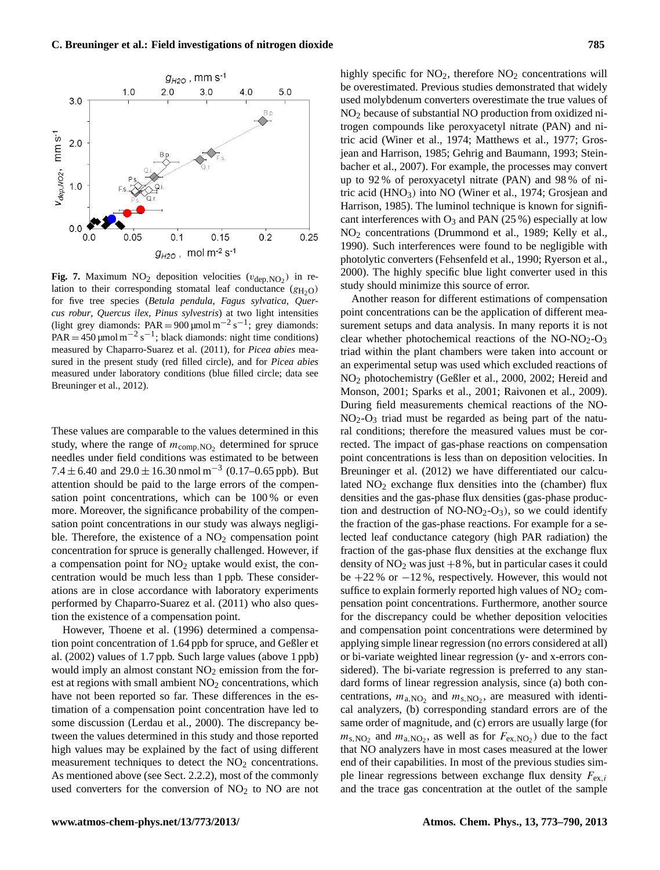

**Fig. 7.** Maximum  $NO<sub>2</sub>$  deposition velocities ( $v_{dep, NO<sub>2</sub>}$ ) in relation to their corresponding stomatal leaf conductance ( $g_{H_2O}$ ) for five tree species (*Betula pendula*, *Fagus sylvatica*, *Quercus robur, Quercus ilex, Pinus sylvestris*) at two light intensities (light grey diamonds:  $PAR = 900 \,\text{µmol}\,\text{m}^{-2}\,\text{s}^{-1}$ ; grey diamonds:  $PAR = 450 \,\text{µmol m}^{-2} \,\text{s}^{-1}$ ; black diamonds: night time conditions) measured by Chaparro-Suarez et al. (2011), for *Picea abies* measured in the present study (red filled circle), and for *Picea abies* measured under laboratory conditions (blue filled circle; data see Breuninger et al., 2012).

more. Moreover, the significance probability of the compen-These values are comparable to the values determined in this study, where the range of  $m_{\text{comp, NO}_2}$  determined for spruce needles under field conditions was estimated to be between 7.4  $\pm$  6.40 and 29.0  $\pm$  16.30 nmol m<sup>-3</sup> (0.17–0.65 ppb). But attention should be paid to the large errors of the compensation point concentrations, which can be 100 % or even sation point concentrations in our study was always negligible. Therefore, the existence of a  $NO<sub>2</sub>$  compensation point concentration for spruce is generally challenged. However, if a compensation point for  $NO<sub>2</sub>$  uptake would exist, the concentration would be much less than 1 ppb. These considerations are in close accordance with laboratory experiments performed by Chaparro-Suarez et al. (2011) who also question the existence of a compensation point.

However, Thoene et al. (1996) determined a compensation point concentration of 1.64 ppb for spruce, and Geßler et al. (2002) values of 1.7 ppb. Such large values (above 1 ppb) would imply an almost constant  $NO<sub>2</sub>$  emission from the forest at regions with small ambient  $NO<sub>2</sub>$  concentrations, which have not been reported so far. These differences in the estimation of a compensation point concentration have led to some discussion (Lerdau et al., 2000). The discrepancy between the values determined in this study and those reported high values may be explained by the fact of using different measurement techniques to detect the  $NO<sub>2</sub>$  concentrations. As mentioned above (see Sect. 2.2.2), most of the commonly used converters for the conversion of  $NO<sub>2</sub>$  to  $NO$  are not

highly specific for  $NO<sub>2</sub>$ , therefore  $NO<sub>2</sub>$  concentrations will be overestimated. Previous studies demonstrated that widely used molybdenum converters overestimate the true values of NO<sup>2</sup> because of substantial NO production from oxidized nitrogen compounds like peroxyacetyl nitrate (PAN) and nitric acid (Winer et al., 1974; Matthews et al., 1977; Grosjean and Harrison, 1985; Gehrig and Baumann, 1993; Steinbacher et al., 2007). For example, the processes may convert up to 92 % of peroxyacetyl nitrate (PAN) and 98 % of nitric acid (HNO3) into NO (Winer et al., 1974; Grosjean and Harrison, 1985). The luminol technique is known for significant interferences with  $O_3$  and PAN (25 %) especially at low NO<sup>2</sup> concentrations (Drummond et al., 1989; Kelly et al., 1990). Such interferences were found to be negligible with photolytic converters (Fehsenfeld et al., 1990; Ryerson et al., 2000). The highly specific blue light converter used in this study should minimize this source of error.

Another reason for different estimations of compensation point concentrations can be the application of different measurement setups and data analysis. In many reports it is not clear whether photochemical reactions of the  $NO-NO<sub>2</sub>-O<sub>3</sub>$ triad within the plant chambers were taken into account or an experimental setup was used which excluded reactions of NO<sup>2</sup> photochemistry (Geßler et al., 2000, 2002; Hereid and Monson, 2001; Sparks et al., 2001; Raivonen et al., 2009). During field measurements chemical reactions of the NO- $NO<sub>2</sub>$ - $O<sub>3</sub>$  triad must be regarded as being part of the natural conditions; therefore the measured values must be corrected. The impact of gas-phase reactions on compensation point concentrations is less than on deposition velocities. In Breuninger et al. (2012) we have differentiated our calculated  $NO<sub>2</sub>$  exchange flux densities into the (chamber) flux densities and the gas-phase flux densities (gas-phase production and destruction of  $NO-NO<sub>2</sub>-O<sub>3</sub>$ ), so we could identify the fraction of the gas-phase reactions. For example for a selected leaf conductance category (high PAR radiation) the fraction of the gas-phase flux densities at the exchange flux density of  $NO<sub>2</sub>$  was just  $+8$ %, but in particular cases it could be  $+22\%$  or  $-12\%$ , respectively. However, this would not suffice to explain formerly reported high values of  $NO<sub>2</sub>$  compensation point concentrations. Furthermore, another source for the discrepancy could be whether deposition velocities and compensation point concentrations were determined by applying simple linear regression (no errors considered at all) or bi-variate weighted linear regression (y- and x-errors considered). The bi-variate regression is preferred to any standard forms of linear regression analysis, since (a) both concentrations,  $m_{a,\text{NO}_2}$  and  $m_{s,\text{NO}_2}$ , are measured with identical analyzers, (b) corresponding standard errors are of the same order of magnitude, and (c) errors are usually large (for  $m_{\text{s,NO}_2}$  and  $m_{\text{a,NO}_2}$ , as well as for  $F_{\text{ex,NO}_2}$ ) due to the fact that NO analyzers have in most cases measured at the lower end of their capabilities. In most of the previous studies simple linear regressions between exchange flux density  $F_{ex,i}$ and the trace gas concentration at the outlet of the sample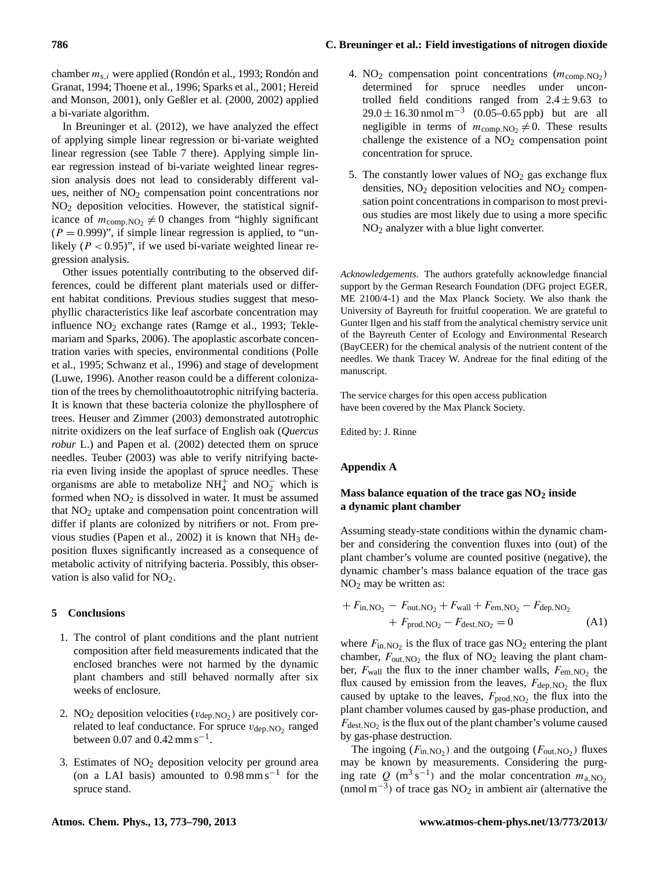chamber  $m_{s,i}$  were applied (Rondón et al., 1993; Rondón and Granat, 1994; Thoene et al., 1996; Sparks et al., 2001; Hereid and Monson, 2001), only Geßler et al. (2000, 2002) applied a bi-variate algorithm.

In Breuninger et al. (2012), we have analyzed the effect of applying simple linear regression or bi-variate weighted linear regression (see Table 7 there). Applying simple linear regression instead of bi-variate weighted linear regression analysis does not lead to considerably different values, neither of NO<sub>2</sub> compensation point concentrations nor NO<sup>2</sup> deposition velocities. However, the statistical significance of  $m_{\text{comp,NO}_2} \neq 0$  changes from "highly significant  $(P = 0.999)$ ", if simple linear regression is applied, to "unlikely ( $P < 0.95$ )", if we used bi-variate weighted linear regression analysis.

Other issues potentially contributing to the observed differences, could be different plant materials used or different habitat conditions. Previous studies suggest that mesophyllic characteristics like leaf ascorbate concentration may influence  $NO<sub>2</sub>$  exchange rates (Ramge et al., 1993; Teklemariam and Sparks, 2006). The apoplastic ascorbate concentration varies with species, environmental conditions (Polle et al., 1995; Schwanz et al., 1996) and stage of development (Luwe, 1996). Another reason could be a different colonization of the trees by chemolithoautotrophic nitrifying bacteria. It is known that these bacteria colonize the phyllosphere of trees. Heuser and Zimmer (2003) demonstrated autotrophic nitrite oxidizers on the leaf surface of English oak (*Quercus robur* L.) and Papen et al. (2002) detected them on spruce needles. Teuber (2003) was able to verify nitrifying bacteria even living inside the apoplast of spruce needles. These organisms are able to metabolize  $NH_4^+$  and  $NO_2^-$  which is formed when  $NO<sub>2</sub>$  is dissolved in water. It must be assumed that  $NO<sub>2</sub>$  uptake and compensation point concentration will differ if plants are colonized by nitrifiers or not. From previous studies (Papen et al., 2002) it is known that  $NH<sub>3</sub>$  deposition fluxes significantly increased as a consequence of metabolic activity of nitrifying bacteria. Possibly, this observation is also valid for  $NO<sub>2</sub>$ .

#### **5 Conclusions**

- 1. The control of plant conditions and the plant nutrient composition after field measurements indicated that the enclosed branches were not harmed by the dynamic plant chambers and still behaved normally after six weeks of enclosure.
- 2. NO<sub>2</sub> deposition velocities ( $v_{\text{dep, NO}_2}$ ) are positively correlated to leaf conductance. For spruce  $v_{\text{dep, NO}_2}$  ranged between 0.07 and  $0.42$  mm s<sup>-1</sup>.
- 3. Estimates of  $NO<sub>2</sub>$  deposition velocity per ground area (on a LAI basis) amounted to  $0.98 \text{ mm s}^{-1}$  for the spruce stand.
- 4. NO<sub>2</sub> compensation point concentrations  $(m_{\text{comp, NO}_2})$ determined for spruce needles under uncontrolled field conditions ranged from  $2.4 \pm 9.63$  to  $29.0 \pm 16.30$  nmol m<sup>-3</sup> (0.05–0.65 ppb) but are all negligible in terms of  $m_{\text{comp,NO}_2} \neq 0$ . These results challenge the existence of a  $NO<sub>2</sub>$  compensation point concentration for spruce.
- 5. The constantly lower values of  $NO<sub>2</sub>$  gas exchange flux densities,  $NO<sub>2</sub>$  deposition velocities and  $NO<sub>2</sub>$  compensation point concentrations in comparison to most previous studies are most likely due to using a more specific NO<sup>2</sup> analyzer with a blue light converter.

*Acknowledgements.* The authors gratefully acknowledge financial support by the German Research Foundation (DFG project EGER, ME 2100/4-1) and the Max Planck Society. We also thank the University of Bayreuth for fruitful cooperation. We are grateful to Gunter Ilgen and his staff from the analytical chemistry service unit of the Bayreuth Center of Ecology and Environmental Research (BayCEER) for the chemical analysis of the nutrient content of the needles. We thank Tracey W. Andreae for the final editing of the manuscript.

The service charges for this open access publication have been covered by the Max Planck Society.

Edited by: J. Rinne

## **Appendix A**

# **Mass balance equation of the trace gas NO<sup>2</sup> inside a dynamic plant chamber**

Assuming steady-state conditions within the dynamic chamber and considering the convention fluxes into (out) of the plant chamber's volume are counted positive (negative), the dynamic chamber's mass balance equation of the trace gas  $NO<sub>2</sub>$  may be written as:

+ 
$$
F_{\text{in,NO}_2}
$$
 -  $F_{\text{out,NO}_2}$  +  $F_{\text{wall}}$  +  $F_{\text{em,NO}_2}$  -  $F_{\text{dep,NO}_2}$   
+  $F_{\text{prod,NO}_2}$  -  $F_{\text{dest,NO}_2}$  = 0 (A1)

where  $F_{\text{in,NO}_2}$  is the flux of trace gas NO<sub>2</sub> entering the plant chamber,  $F_{\text{out,NO}_2}$  the flux of NO<sub>2</sub> leaving the plant chamber,  $F_{\text{wall}}$  the flux to the inner chamber walls,  $F_{\text{em,NO}_2}$  the flux caused by emission from the leaves,  $F_{\text{dep, NO}_2}$  the flux caused by uptake to the leaves,  $F_{\text{prod, NO}_2}$  the flux into the plant chamber volumes caused by gas-phase production, and  $F_{\text{dest,NO}_2}$  is the flux out of the plant chamber's volume caused by gas-phase destruction.

The ingoing  $(F_{in,NO_2})$  and the outgoing  $(F_{out,NO_2})$  fluxes may be known by measurements. Considering the purging rate  $Q(m^3 s^{-1})$  and the molar concentration  $m_{a,NO_2}$ (nmol m−<sup>3</sup> ) of trace gas NO<sup>2</sup> in ambient air (alternative the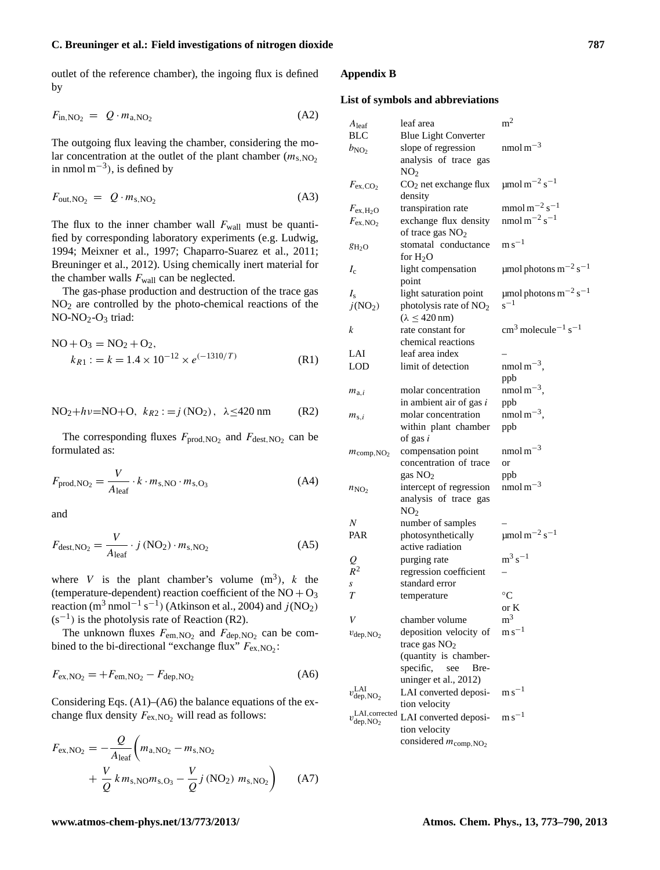outlet of the reference chamber), the ingoing flux is defined by

$$
F_{\text{in,NO}_2} = Q \cdot m_{\text{a,NO}_2} \tag{A2}
$$

The outgoing flux leaving the chamber, considering the molar concentration at the outlet of the plant chamber  $(m<sub>s.NO2</sub>)$ in nmol  $m^{-3}$ ), is defined by

$$
F_{\text{out,NO}_2} = Q \cdot m_{\text{s,NO}_2} \tag{A3}
$$

The flux to the inner chamber wall  $F_{wall}$  must be quantified by corresponding laboratory experiments (e.g. Ludwig, 1994; Meixner et al., 1997; Chaparro-Suarez et al., 2011; Breuninger et al., 2012). Using chemically inert material for the chamber walls  $F_{\text{wall}}$  can be neglected.

The gas-phase production and destruction of the trace gas NO<sup>2</sup> are controlled by the photo-chemical reactions of the NO-NO<sub>2</sub>-O<sub>3</sub> triad:

$$
NO + O3 = NO2 + O2,\nkR1 : = k = 1.4 × 10-12 × e(-1310/T)
$$
\n(R1)

NO<sub>2</sub>+hv=NO+O, 
$$
k_{R2} := j \text{ (NO}_2), \ \lambda \leq 420 \text{ nm}
$$
 (R2)

The corresponding fluxes  $F_{\text{prod, NO}_2}$  and  $F_{\text{dest, NO}_2}$  can be formulated as:

$$
F_{\text{prod,NO}_2} = \frac{V}{A_{\text{leaf}}} \cdot k \cdot m_{\text{s,NO}} \cdot m_{\text{s,O}_3}
$$
 (A4)

and

$$
F_{\text{dest,NO}_2} = \frac{V}{A_{\text{leaf}}} \cdot j \text{ (NO}_2) \cdot m_{\text{s,NO}_2} \tag{A5}
$$

where V is the plant chamber's volume  $(m^3)$ , k the (temperature-dependent) reaction coefficient of the  $NO + O_3$ reaction (m<sup>3</sup> nmol<sup>-1</sup> s<sup>-1</sup>) (Atkinson et al., 2004) and  $j(NO<sub>2</sub>)$  $(s^{-1})$  is the photolysis rate of Reaction (R2).

The unknown fluxes  $F_{\text{em,NO}_2}$  and  $F_{\text{dep,NO}_2}$  can be combined to the bi-directional "exchange flux"  $F_{\text{ex,NO}_2}$ :

$$
F_{\rm ex, NO_2} = +F_{\rm em, NO_2} - F_{\rm dep, NO_2}
$$
 (A6)

Considering Eqs. (A1)–(A6) the balance equations of the exchange flux density  $F_{\text{ex,NO}_2}$  will read as follows:

$$
F_{\text{ex,NO}_2} = -\frac{Q}{A_{\text{leaf}}} \left( m_{\text{a,NO}_2} - m_{\text{s,NO}_2} + \frac{V}{Q} k m_{\text{s,NO}} m_{\text{s,OO}_3} - \frac{V}{Q} j \left( \text{NO}_2 \right) m_{\text{s,NO}_2} \right) \tag{A7}
$$

#### **Appendix B**

## **List of symbols and abbreviations**

| $A$ leaf                                            | leaf area                          | m <sup>2</sup>                                                 |
|-----------------------------------------------------|------------------------------------|----------------------------------------------------------------|
| BLC                                                 | <b>Blue Light Converter</b>        |                                                                |
| $b_{\text{NO}_2}$                                   | slope of regression                | nmol m $^{-3}$                                                 |
|                                                     | analysis of trace gas              |                                                                |
|                                                     | NO <sub>2</sub>                    |                                                                |
| $F_{\rm ex,CO_2}$                                   | $CO2$ net exchange flux            | $\mu$ mol m <sup>-2</sup> s <sup>-1</sup>                      |
|                                                     | density                            |                                                                |
| $F_{\text{ex},\text{H}_2\text{O}}$                  | transpiration rate                 | $mmol\,m^{-2}\,s^{-1}$                                         |
| $F_{\text{ex,NO}_2}$                                | exchange flux density              | nmol m <sup><math>-2</math></sup> s <sup><math>-1</math></sup> |
|                                                     | of trace gas NO <sub>2</sub>       |                                                                |
| $g_{H_2O}$                                          | stomatal conductance               | $m s^{-1}$                                                     |
|                                                     | for $H_2O$                         |                                                                |
| $I_c$                                               | light compensation                 | $\mu$ mol photons m <sup>-2</sup> s <sup>-1</sup>              |
|                                                     | point                              |                                                                |
| $I_{\rm s}$                                         | light saturation point             | $\mu$ mol photons m <sup>-2</sup> s <sup>-1</sup>              |
| j(NO <sub>2</sub> )                                 | photolysis rate of NO <sub>2</sub> | $s^{-1}$                                                       |
|                                                     | $(\lambda \leq 420 \,\text{nm})$   |                                                                |
| k                                                   | rate constant for                  | $\text{cm}^3$ molecule <sup>-1</sup> s <sup>-1</sup>           |
|                                                     | chemical reactions                 |                                                                |
| LAI                                                 | leaf area index                    |                                                                |
| LOD                                                 | limit of detection                 | nmol m <sup><math>-3</math></sup> ,                            |
|                                                     |                                    | ppb                                                            |
| $m_{a,i}$                                           | molar concentration                | nmol m <sup><math>-3</math></sup> ,                            |
|                                                     | in ambient air of gas i            | ppb                                                            |
| $m_{s,i}$                                           | molar concentration                | nmol m <sup><math>-3</math></sup> ,                            |
|                                                     | within plant chamber               | ppb                                                            |
|                                                     | of gas $i$                         |                                                                |
| $m_{\text{comp,NO}_2}$                              | compensation point                 | nmol m <sup><math>-3</math></sup>                              |
|                                                     | concentration of trace             | or                                                             |
|                                                     | gas $NO2$                          | ppb                                                            |
| $n_{\rm NO_2}$                                      | intercept of regression            | nmol $m-3$                                                     |
|                                                     | analysis of trace gas              |                                                                |
|                                                     | NO <sub>2</sub>                    |                                                                |
| N                                                   | number of samples                  |                                                                |
| PAR                                                 | photosynthetically                 | $\mu$ mol m <sup>-2</sup> s <sup>-1</sup>                      |
|                                                     | active radiation                   |                                                                |
| $\frac{Q}{R^2}$                                     | purging rate                       | $\rm m^3\,s^{-1}$                                              |
|                                                     | regression coefficient             |                                                                |
| s                                                   | standard error                     |                                                                |
| T                                                   | temperature                        | $\rm ^{\circ}C$                                                |
|                                                     |                                    | or K                                                           |
| V                                                   | chamber volume                     | m <sup>3</sup>                                                 |
| $v_{\text{dep},\text{NO}_2}$                        | deposition velocity of             | $\mathrm{m}\,\mathrm{s}^{-1}$                                  |
|                                                     | trace gas $NO2$                    |                                                                |
|                                                     | (quantity is chamber-              |                                                                |
|                                                     | specific,<br>see<br>Bre-           |                                                                |
|                                                     | uninger et al., 2012)              |                                                                |
| $v_{\rm dep,NO_2}^{\rm LAI}$                        | LAI converted deposi-              | $\mathrm{m}\,\mathrm{s}^{-1}$                                  |
|                                                     | tion velocity                      |                                                                |
| $v_{\text{dep},\text{NO}_2}^{\text{LAI,corrected}}$ | LAI converted deposi-              | $\mathrm{m}\,\mathrm{s}^{-1}$                                  |
|                                                     | tion velocity                      |                                                                |
|                                                     | considered $m_{\text{comp,NO}_2}$  |                                                                |
|                                                     |                                    |                                                                |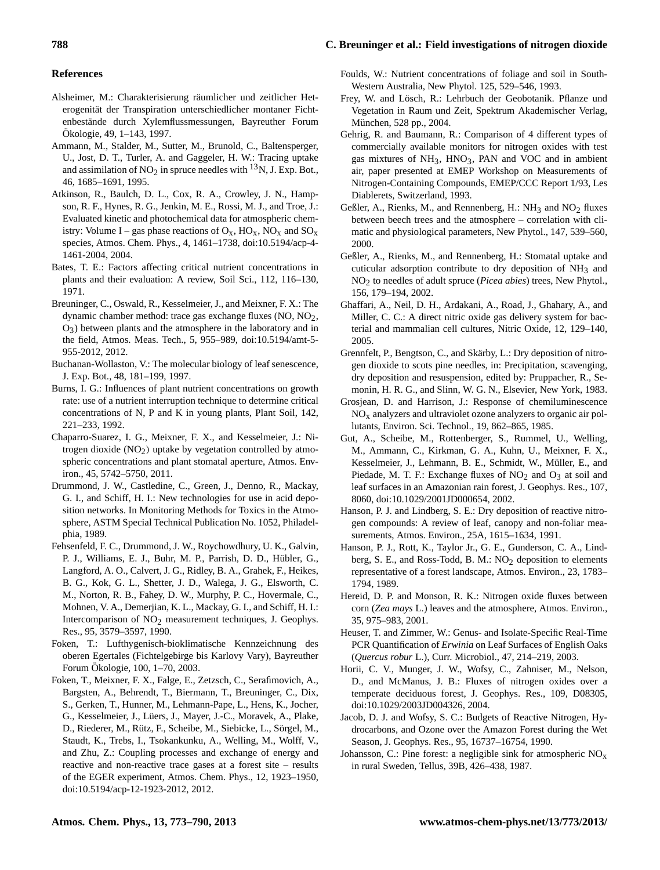#### **References**

- Alsheimer, M.: Charakterisierung räumlicher und zeitlicher Heterogenität der Transpiration unterschiedlicher montaner Fichtenbestände durch Xylemflussmessungen, Bayreuther Forum Okologie, 49, 1–143, 1997. ¨
- Ammann, M., Stalder, M., Sutter, M., Brunold, C., Baltensperger, U., Jost, D. T., Turler, A. and Gaggeler, H. W.: Tracing uptake and assimilation of  $NO<sub>2</sub>$  in spruce needles with <sup>13</sup>N, J. Exp. Bot., 46, 1685–1691, 1995.
- Atkinson, R., Baulch, D. L., Cox, R. A., Crowley, J. N., Hampson, R. F., Hynes, R. G., Jenkin, M. E., Rossi, M. J., and Troe, J.: Evaluated kinetic and photochemical data for atmospheric chemistry: Volume I – gas phase reactions of  $O_x$ ,  $HO_x$ ,  $NO_x$  and  $SO_x$ species, Atmos. Chem. Phys., 4, 1461–1738, [doi:10.5194/acp-4-](http://dx.doi.org/10.5194/acp-4-1461-2004) [1461-2004,](http://dx.doi.org/10.5194/acp-4-1461-2004) 2004.
- Bates, T. E.: Factors affecting critical nutrient concentrations in plants and their evaluation: A review, Soil Sci., 112, 116–130, 1971.
- Breuninger, C., Oswald, R., Kesselmeier, J., and Meixner, F. X.: The dynamic chamber method: trace gas exchange fluxes  $(NO, NO<sub>2</sub>,$  $O<sub>3</sub>$ ) between plants and the atmosphere in the laboratory and in the field, Atmos. Meas. Tech., 5, 955–989, [doi:10.5194/amt-5-](http://dx.doi.org/10.5194/amt-5-955-2012) [955-2012,](http://dx.doi.org/10.5194/amt-5-955-2012) 2012.
- Buchanan-Wollaston, V.: The molecular biology of leaf senescence, J. Exp. Bot., 48, 181–199, 1997.
- Burns, I. G.: Influences of plant nutrient concentrations on growth rate: use of a nutrient interruption technique to determine critical concentrations of N, P and K in young plants, Plant Soil, 142, 221–233, 1992.
- Chaparro-Suarez, I. G., Meixner, F. X., and Kesselmeier, J.: Nitrogen dioxide  $(NO<sub>2</sub>)$  uptake by vegetation controlled by atmospheric concentrations and plant stomatal aperture, Atmos. Environ., 45, 5742–5750, 2011.
- Drummond, J. W., Castledine, C., Green, J., Denno, R., Mackay, G. I., and Schiff, H. I.: New technologies for use in acid deposition networks. In Monitoring Methods for Toxics in the Atmosphere, ASTM Special Technical Publication No. 1052, Philadelphia, 1989.
- Fehsenfeld, F. C., Drummond, J. W., Roychowdhury, U. K., Galvin, P. J., Williams, E. J., Buhr, M. P., Parrish, D. D., Hübler, G., Langford, A. O., Calvert, J. G., Ridley, B. A., Grahek, F., Heikes, B. G., Kok, G. L., Shetter, J. D., Walega, J. G., Elsworth, C. M., Norton, R. B., Fahey, D. W., Murphy, P. C., Hovermale, C., Mohnen, V. A., Demerjian, K. L., Mackay, G. I., and Schiff, H. I.: Intercomparison of  $NO<sub>2</sub>$  measurement techniques, J. Geophys. Res., 95, 3579–3597, 1990.
- Foken, T.: Lufthygenisch-bioklimatische Kennzeichnung des oberen Egertales (Fichtelgebirge bis Karlovy Vary), Bayreuther Forum Okologie, 100, 1–70, 2003. ¨
- Foken, T., Meixner, F. X., Falge, E., Zetzsch, C., Serafimovich, A., Bargsten, A., Behrendt, T., Biermann, T., Breuninger, C., Dix, S., Gerken, T., Hunner, M., Lehmann-Pape, L., Hens, K., Jocher, G., Kesselmeier, J., Lüers, J., Mayer, J.-C., Moravek, A., Plake, D., Riederer, M., Rütz, F., Scheibe, M., Siebicke, L., Sörgel, M., Staudt, K., Trebs, I., Tsokankunku, A., Welling, M., Wolff, V., and Zhu, Z.: Coupling processes and exchange of energy and reactive and non-reactive trace gases at a forest site – results of the EGER experiment, Atmos. Chem. Phys., 12, 1923–1950, [doi:10.5194/acp-12-1923-2012,](http://dx.doi.org/10.5194/acp-12-1923-2012) 2012.
- Foulds, W.: Nutrient concentrations of foliage and soil in South-Western Australia, New Phytol. 125, 529–546, 1993.
- Frey, W. and Lösch, R.: Lehrbuch der Geobotanik. Pflanze und Vegetation in Raum und Zeit, Spektrum Akademischer Verlag, München, 528 pp., 2004.
- Gehrig, R. and Baumann, R.: Comparison of 4 different types of commercially available monitors for nitrogen oxides with test gas mixtures of  $NH_3$ ,  $HNO_3$ ,  $PAN$  and  $VOC$  and in ambient air, paper presented at EMEP Workshop on Measurements of Nitrogen-Containing Compounds, EMEP/CCC Report 1/93, Les Diablerets, Switzerland, 1993.
- Geßler, A., Rienks, M., and Rennenberg, H.:  $NH_3$  and  $NO_2$  fluxes between beech trees and the atmosphere – correlation with climatic and physiological parameters, New Phytol., 147, 539–560, 2000.
- Geßler, A., Rienks, M., and Rennenberg, H.: Stomatal uptake and cuticular adsorption contribute to dry deposition of  $NH<sub>3</sub>$  and NO2 to needles of adult spruce (*Picea abies*) trees, New Phytol., 156, 179–194, 2002.
- Ghaffari, A., Neil, D. H., Ardakani, A., Road, J., Ghahary, A., and Miller, C. C.: A direct nitric oxide gas delivery system for bacterial and mammalian cell cultures, Nitric Oxide, 12, 129–140, 2005.
- Grennfelt, P., Bengtson, C., and Skärby, L.: Dry deposition of nitrogen dioxide to scots pine needles, in: Precipitation, scavenging, dry deposition and resuspension, edited by: Pruppacher, R., Semonin, H. R. G., and Slinn, W. G. N., Elsevier, New York, 1983.
- Grosjean, D. and Harrison, J.: Response of chemiluminescence  $NO<sub>x</sub>$  analyzers and ultraviolet ozone analyzers to organic air pollutants, Environ. Sci. Technol., 19, 862–865, 1985.
- Gut, A., Scheibe, M., Rottenberger, S., Rummel, U., Welling, M., Ammann, C., Kirkman, G. A., Kuhn, U., Meixner, F. X., Kesselmeier, J., Lehmann, B. E., Schmidt, W., Müller, E., and Piedade, M. T. F.: Exchange fluxes of  $NO<sub>2</sub>$  and  $O<sub>3</sub>$  at soil and leaf surfaces in an Amazonian rain forest, J. Geophys. Res., 107, 8060, [doi:10.1029/2001JD000654,](http://dx.doi.org/10.1029/2001JD000654) 2002.
- Hanson, P. J. and Lindberg, S. E.: Dry deposition of reactive nitrogen compounds: A review of leaf, canopy and non-foliar measurements, Atmos. Environ., 25A, 1615–1634, 1991.
- Hanson, P. J., Rott, K., Taylor Jr., G. E., Gunderson, C. A., Lindberg, S. E., and Ross-Todd, B. M.:  $NO<sub>2</sub>$  deposition to elements representative of a forest landscape, Atmos. Environ., 23, 1783– 1794, 1989.
- Hereid, D. P. and Monson, R. K.: Nitrogen oxide fluxes between corn (*Zea mays* L.) leaves and the atmosphere, Atmos. Environ., 35, 975–983, 2001.
- Heuser, T. and Zimmer, W.: Genus- and Isolate-Specific Real-Time PCR Quantification of *Erwinia* on Leaf Surfaces of English Oaks (*Quercus robur* L.), Curr. Microbiol., 47, 214–219, 2003.
- Horii, C. V., Munger, J. W., Wofsy, C., Zahniser, M., Nelson, D., and McManus, J. B.: Fluxes of nitrogen oxides over a temperate deciduous forest, J. Geophys. Res., 109, D08305, [doi:10.1029/2003JD004326,](http://dx.doi.org/10.1029/2003JD004326) 2004.
- Jacob, D. J. and Wofsy, S. C.: Budgets of Reactive Nitrogen, Hydrocarbons, and Ozone over the Amazon Forest during the Wet Season, J. Geophys. Res., 95, 16737–16754, 1990.
- Johansson, C.: Pine forest: a negligible sink for atmospheric  $NO<sub>x</sub>$ in rural Sweden, Tellus, 39B, 426–438, 1987.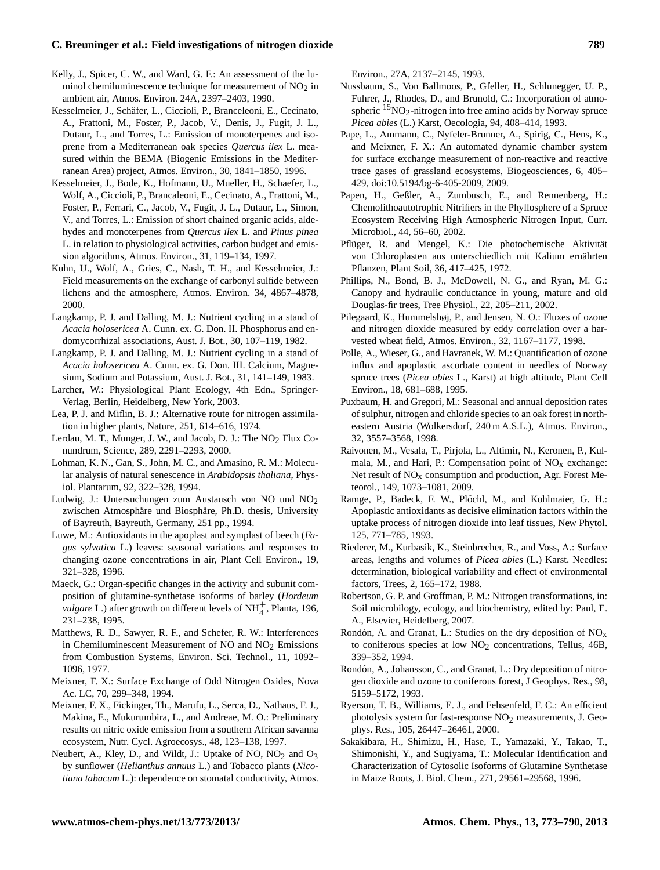- Kelly, J., Spicer, C. W., and Ward, G. F.: An assessment of the luminol chemiluminescence technique for measurement of  $NO<sub>2</sub>$  in ambient air, Atmos. Environ. 24A, 2397–2403, 1990.
- Kesselmeier, J., Schafer, L., Ciccioli, P., Branceleoni, E., Cecinato, ¨ A., Frattoni, M., Foster, P., Jacob, V., Denis, J., Fugit, J. L., Dutaur, L., and Torres, L.: Emission of monoterpenes and isoprene from a Mediterranean oak species *Quercus ilex* L. measured within the BEMA (Biogenic Emissions in the Mediterranean Area) project, Atmos. Environ., 30, 1841–1850, 1996.
- Kesselmeier, J., Bode, K., Hofmann, U., Mueller, H., Schaefer, L., Wolf, A., Ciccioli, P., Brancaleoni, E., Cecinato, A., Frattoni, M., Foster, P., Ferrari, C., Jacob, V., Fugit, J. L., Dutaur, L., Simon, V., and Torres, L.: Emission of short chained organic acids, aldehydes and monoterpenes from *Quercus ilex* L. and *Pinus pinea* L. in relation to physiological activities, carbon budget and emission algorithms, Atmos. Environ., 31, 119–134, 1997.
- Kuhn, U., Wolf, A., Gries, C., Nash, T. H., and Kesselmeier, J.: Field measurements on the exchange of carbonyl sulfide between lichens and the atmosphere, Atmos. Environ. 34, 4867–4878, 2000.
- Langkamp, P. J. and Dalling, M. J.: Nutrient cycling in a stand of *Acacia holosericea* A. Cunn. ex. G. Don. II. Phosphorus and endomycorrhizal associations, Aust. J. Bot., 30, 107–119, 1982.
- Langkamp, P. J. and Dalling, M. J.: Nutrient cycling in a stand of *Acacia holosericea* A. Cunn. ex. G. Don. III. Calcium, Magnesium, Sodium and Potassium, Aust. J. Bot., 31, 141–149, 1983.
- Larcher, W.: Physiological Plant Ecology, 4th Edn., Springer-Verlag, Berlin, Heidelberg, New York, 2003.
- Lea, P. J. and Miflin, B. J.: Alternative route for nitrogen assimilation in higher plants, Nature, 251, 614–616, 1974.
- Lerdau, M. T., Munger, J. W., and Jacob, D. J.: The  $NO<sub>2</sub>$  Flux Conundrum, Science, 289, 2291–2293, 2000.
- Lohman, K. N., Gan, S., John, M. C., and Amasino, R. M.: Molecular analysis of natural senescence in *Arabidopsis thaliana*, Physiol. Plantarum, 92, 322–328, 1994.
- Ludwig, J.: Untersuchungen zum Austausch von NO und NO<sub>2</sub> zwischen Atmosphäre und Biosphäre, Ph.D. thesis, University of Bayreuth, Bayreuth, Germany, 251 pp., 1994.
- Luwe, M.: Antioxidants in the apoplast and symplast of beech (*Fagus sylvatica* L.) leaves: seasonal variations and responses to changing ozone concentrations in air, Plant Cell Environ., 19, 321–328, 1996.
- Maeck, G.: Organ-specific changes in the activity and subunit composition of glutamine-synthetase isoforms of barley (*Hordeum vulgare* L.) after growth on different levels of NH<sup>+</sup>, Planta, 196, 231–238, 1995.
- Matthews, R. D., Sawyer, R. F., and Schefer, R. W.: Interferences in Chemiluminescent Measurement of NO and  $NO<sub>2</sub>$  Emissions from Combustion Systems, Environ. Sci. Technol., 11, 1092– 1096, 1977.
- Meixner, F. X.: Surface Exchange of Odd Nitrogen Oxides, Nova Ac. LC, 70, 299–348, 1994.
- Meixner, F. X., Fickinger, Th., Marufu, L., Serca, D., Nathaus, F. J., Makina, E., Mukurumbira, L., and Andreae, M. O.: Preliminary results on nitric oxide emission from a southern African savanna ecosystem, Nutr. Cycl. Agroecosys., 48, 123–138, 1997.
- Neubert, A., Kley, D., and Wildt, J.: Uptake of NO,  $NO<sub>2</sub>$  and  $O<sub>3</sub>$ by sunflower (*Helianthus annuus* L.) and Tobacco plants (*Nicotiana tabacum* L.): dependence on stomatal conductivity, Atmos.

Environ., 27A, 2137–2145, 1993.

- Nussbaum, S., Von Ballmoos, P., Gfeller, H., Schlunegger, U. P., Fuhrer, J., Rhodes, D., and Brunold, C.: Incorporation of atmospheric  $15NO<sub>2</sub>$ -nitrogen into free amino acids by Norway spruce *Picea abies* (L.) Karst, Oecologia, 94, 408–414, 1993.
- Pape, L., Ammann, C., Nyfeler-Brunner, A., Spirig, C., Hens, K., and Meixner, F. X.: An automated dynamic chamber system for surface exchange measurement of non-reactive and reactive trace gases of grassland ecosystems, Biogeosciences, 6, 405– 429, [doi:10.5194/bg-6-405-2009,](http://dx.doi.org/10.5194/bg-6-405-2009) 2009.
- Papen, H., Geßler, A., Zumbusch, E., and Rennenberg, H.: Chemolithoautotrophic Nitrifiers in the Phyllosphere of a Spruce Ecosystem Receiving High Atmospheric Nitrogen Input, Curr. Microbiol., 44, 56–60, 2002.
- Pflüger, R. and Mengel, K.: Die photochemische Aktivität von Chloroplasten aus unterschiedlich mit Kalium ernährten Pflanzen, Plant Soil, 36, 417–425, 1972.
- Phillips, N., Bond, B. J., McDowell, N. G., and Ryan, M. G.: Canopy and hydraulic conductance in young, mature and old Douglas-fir trees, Tree Physiol., 22, 205–211, 2002.
- Pilegaard, K., Hummelshøj, P., and Jensen, N. O.: Fluxes of ozone and nitrogen dioxide measured by eddy correlation over a harvested wheat field, Atmos. Environ., 32, 1167–1177, 1998.
- Polle, A., Wieser, G., and Havranek, W. M.: Quantification of ozone influx and apoplastic ascorbate content in needles of Norway spruce trees (*Picea abies* L., Karst) at high altitude, Plant Cell Environ., 18, 681–688, 1995.
- Puxbaum, H. and Gregori, M.: Seasonal and annual deposition rates of sulphur, nitrogen and chloride species to an oak forest in northeastern Austria (Wolkersdorf, 240 m A.S.L.), Atmos. Environ., 32, 3557–3568, 1998.
- Raivonen, M., Vesala, T., Pirjola, L., Altimir, N., Keronen, P., Kulmala, M., and Hari, P.: Compensation point of  $NO<sub>x</sub>$  exchange: Net result of  $NO<sub>x</sub>$  consumption and production, Agr. Forest Meteorol., 149, 1073–1081, 2009.
- Ramge, P., Badeck, F. W., Plöchl, M., and Kohlmaier, G. H.: Apoplastic antioxidants as decisive elimination factors within the uptake process of nitrogen dioxide into leaf tissues, New Phytol. 125, 771–785, 1993.
- Riederer, M., Kurbasik, K., Steinbrecher, R., and Voss, A.: Surface areas, lengths and volumes of *Picea abies* (L.) Karst. Needles: determination, biological variability and effect of environmental factors, Trees, 2, 165–172, 1988.
- Robertson, G. P. and Groffman, P. M.: Nitrogen transformations, in: Soil microbilogy, ecology, and biochemistry, edited by: Paul, E. A., Elsevier, Heidelberg, 2007.
- Rondón, A. and Granat, L.: Studies on the dry deposition of  $NO<sub>x</sub>$ to coniferous species at low  $NO<sub>2</sub>$  concentrations, Tellus, 46B, 339–352, 1994.
- Rondón, A., Johansson, C., and Granat, L.: Dry deposition of nitrogen dioxide and ozone to coniferous forest, J Geophys. Res., 98, 5159–5172, 1993.
- Ryerson, T. B., Williams, E. J., and Fehsenfeld, F. C.: An efficient photolysis system for fast-response  $NO<sub>2</sub>$  measurements, J. Geophys. Res., 105, 26447–26461, 2000.
- Sakakibara, H., Shimizu, H., Hase, T., Yamazaki, Y., Takao, T., Shimonishi, Y., and Sugiyama, T.: Molecular Identification and Characterization of Cytosolic Isoforms of Glutamine Synthetase in Maize Roots, J. Biol. Chem., 271, 29561–29568, 1996.